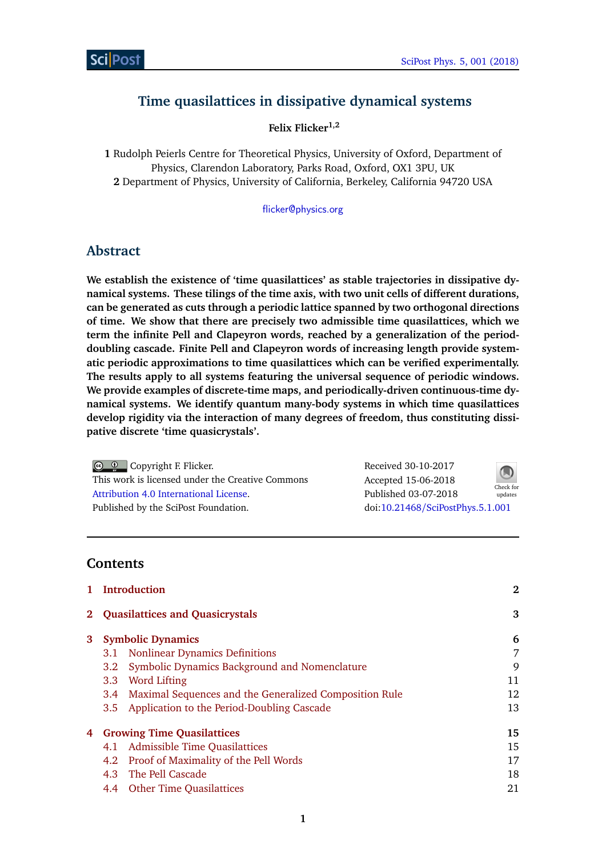# **Time quasilattices in dissipative dynamical systems**

**Felix Flicker1,2**

**1** Rudolph Peierls Centre for Theoretical Physics, University of Oxford, Department of Physics, Clarendon Laboratory, Parks Road, Oxford, OX1 3PU, UK **2** Department of Physics, University of California, Berkeley, California 94720 USA

[flicker@physics.org](mailto:flicker@physics.org)

## **Abstract**

**We establish the existence of 'time quasilattices' as stable trajectories in dissipative dynamical systems. These tilings of the time axis, with two unit cells of different durations, can be generated as cuts through a periodic lattice spanned by two orthogonal directions of time. We show that there are precisely two admissible time quasilattices, which we term the infinite Pell and Clapeyron words, reached by a generalization of the perioddoubling cascade. Finite Pell and Clapeyron words of increasing length provide systematic periodic approximations to time quasilattices which can be verified experimentally. The results apply to all systems featuring the universal sequence of periodic windows. We provide examples of discrete-time maps, and periodically-driven continuous-time dynamical systems. We identify quantum many-body systems in which time quasilattices develop rigidity via the interaction of many degrees of freedom, thus constituting dissipative discrete 'time quasicrystals'.**

Copyright F. Flicker. This work is licensed under the Creative Commons [Attribution 4.0 International License.](http://creativecommons.org/licenses/by/4.0/) Published by the SciPost Foundation.

Received 30-10-2017 Accepted 15-06-2018 Published 03-07-2018 updates doi:10.21468/[SciPostPhys.5.1.001](http://dx.doi.org/10.21468/SciPostPhys.5.1.001)



**Contents**

|             | 1 Introduction                         | $\mathbf{2}$                                           |    |
|-------------|----------------------------------------|--------------------------------------------------------|----|
| $2^{\circ}$ | <b>Quasilattices and Quasicrystals</b> |                                                        | 3  |
| 3           |                                        | <b>Symbolic Dynamics</b>                               | 6  |
|             | 3.1                                    | <b>Nonlinear Dynamics Definitions</b>                  | 7  |
|             | 3.2                                    | Symbolic Dynamics Background and Nomenclature          | 9  |
|             | 3.3                                    | Word Lifting                                           | 11 |
|             | 3.4                                    | Maximal Sequences and the Generalized Composition Rule | 12 |
|             | $3.5^{\circ}$                          | Application to the Period-Doubling Cascade             | 13 |
| 4           |                                        | <b>Growing Time Quasilattices</b>                      | 15 |
|             | 4.1                                    | <b>Admissible Time Quasilattices</b>                   | 15 |
|             | 4.2                                    | Proof of Maximality of the Pell Words                  | 17 |
|             |                                        | 4.3 The Pell Cascade                                   | 18 |
|             |                                        | 4.4 Other Time Quasilattices                           | 21 |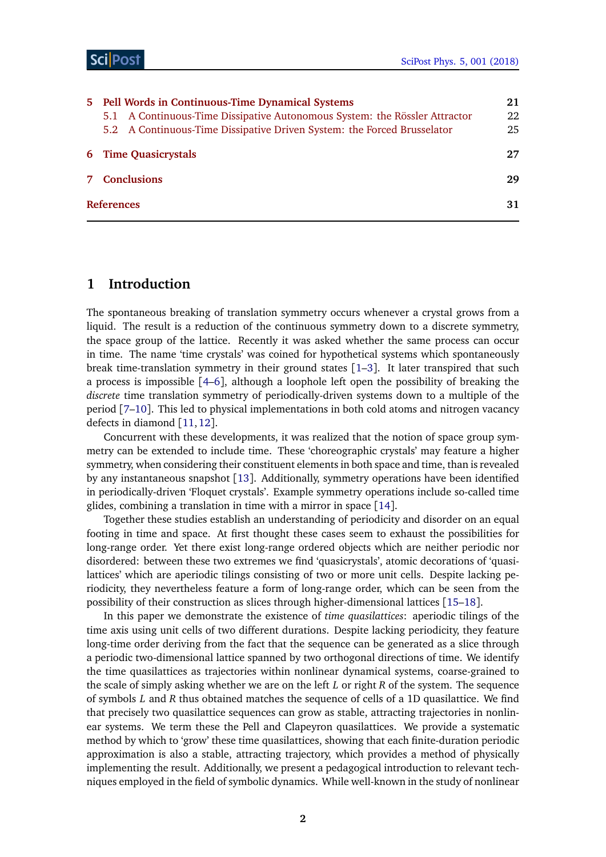| 5 Pell Words in Continuous-Time Dynamical Systems                                                                                                     |          |  |
|-------------------------------------------------------------------------------------------------------------------------------------------------------|----------|--|
| 5.1 A Continuous-Time Dissipative Autonomous System: the Rössler Attractor<br>5.2 A Continuous-Time Dissipative Driven System: the Forced Brusselator | 22<br>25 |  |
| <b>6</b> Time Quasicrystals                                                                                                                           | 27       |  |
| 7 Conclusions                                                                                                                                         | 29       |  |
| <b>References</b>                                                                                                                                     | 31       |  |

## <span id="page-1-0"></span>**1 Introduction**

The spontaneous breaking of translation symmetry occurs whenever a crystal grows from a liquid. The result is a reduction of the continuous symmetry down to a discrete symmetry, the space group of the lattice. Recently it was asked whether the same process can occur in time. The name 'time crystals' was coined for hypothetical systems which spontaneously break time-translation symmetry in their ground states  $[1-3]$  $[1-3]$  $[1-3]$ . It later transpired that such a process is impossible [[4](#page-30-3)[–6](#page-30-4)], although a loophole left open the possibility of breaking the *discrete* time translation symmetry of periodically-driven systems down to a multiple of the period [[7–](#page-30-5)[10](#page-30-6)]. This led to physical implementations in both cold atoms and nitrogen vacancy defects in diamond [[11,](#page-30-7)[12](#page-30-8)].

Concurrent with these developments, it was realized that the notion of space group symmetry can be extended to include time. These 'choreographic crystals' may feature a higher symmetry, when considering their constituent elements in both space and time, than is revealed by any instantaneous snapshot [[13](#page-31-0)]. Additionally, symmetry operations have been identified in periodically-driven 'Floquet crystals'. Example symmetry operations include so-called time glides, combining a translation in time with a mirror in space [[14](#page-31-1)].

Together these studies establish an understanding of periodicity and disorder on an equal footing in time and space. At first thought these cases seem to exhaust the possibilities for long-range order. Yet there exist long-range ordered objects which are neither periodic nor disordered: between these two extremes we find 'quasicrystals', atomic decorations of 'quasilattices' which are aperiodic tilings consisting of two or more unit cells. Despite lacking periodicity, they nevertheless feature a form of long-range order, which can be seen from the possibility of their construction as slices through higher-dimensional lattices [[15–](#page-31-2)[18](#page-31-3)].

In this paper we demonstrate the existence of *time quasilattices*: aperiodic tilings of the time axis using unit cells of two different durations. Despite lacking periodicity, they feature long-time order deriving from the fact that the sequence can be generated as a slice through a periodic two-dimensional lattice spanned by two orthogonal directions of time. We identify the time quasilattices as trajectories within nonlinear dynamical systems, coarse-grained to the scale of simply asking whether we are on the left *L* or right *R* of the system. The sequence of symbols *L* and *R* thus obtained matches the sequence of cells of a 1D quasilattice. We find that precisely two quasilattice sequences can grow as stable, attracting trajectories in nonlinear systems. We term these the Pell and Clapeyron quasilattices. We provide a systematic method by which to 'grow' these time quasilattices, showing that each finite-duration periodic approximation is also a stable, attracting trajectory, which provides a method of physically implementing the result. Additionally, we present a pedagogical introduction to relevant techniques employed in the field of symbolic dynamics. While well-known in the study of nonlinear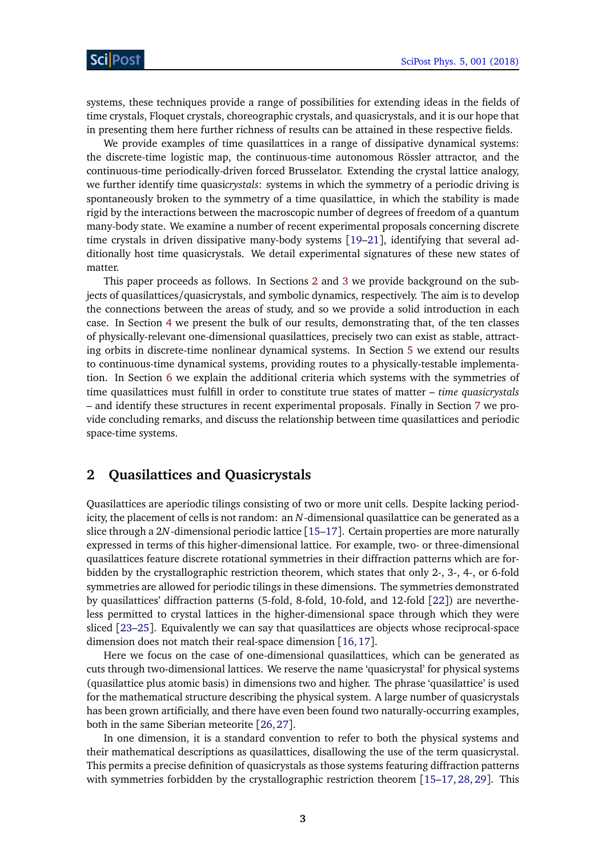systems, these techniques provide a range of possibilities for extending ideas in the fields of time crystals, Floquet crystals, choreographic crystals, and quasicrystals, and it is our hope that in presenting them here further richness of results can be attained in these respective fields.

We provide examples of time quasilattices in a range of dissipative dynamical systems: the discrete-time logistic map, the continuous-time autonomous Rössler attractor, and the continuous-time periodically-driven forced Brusselator. Extending the crystal lattice analogy, we further identify time quasi*crystals*: systems in which the symmetry of a periodic driving is spontaneously broken to the symmetry of a time quasilattice, in which the stability is made rigid by the interactions between the macroscopic number of degrees of freedom of a quantum many-body state. We examine a number of recent experimental proposals concerning discrete time crystals in driven dissipative many-body systems [[19–](#page-31-4)[21](#page-31-5)], identifying that several additionally host time quasicrystals. We detail experimental signatures of these new states of matter.

This paper proceeds as follows. In Sections [2](#page-2-0) and [3](#page-5-0) we provide background on the subjects of quasilattices/quasicrystals, and symbolic dynamics, respectively. The aim is to develop the connections between the areas of study, and so we provide a solid introduction in each case. In Section [4](#page-14-0) we present the bulk of our results, demonstrating that, of the ten classes of physically-relevant one-dimensional quasilattices, precisely two can exist as stable, attracting orbits in discrete-time nonlinear dynamical systems. In Section [5](#page-20-1) we extend our results to continuous-time dynamical systems, providing routes to a physically-testable implementation. In Section [6](#page-26-0) we explain the additional criteria which systems with the symmetries of time quasilattices must fulfill in order to constitute true states of matter – *time quasicrystals* – and identify these structures in recent experimental proposals. Finally in Section [7](#page-28-0) we provide concluding remarks, and discuss the relationship between time quasilattices and periodic space-time systems.

## <span id="page-2-0"></span>**2 Quasilattices and Quasicrystals**

Quasilattices are aperiodic tilings consisting of two or more unit cells. Despite lacking periodicity, the placement of cells is not random: an *N*-dimensional quasilattice can be generated as a slice through a 2*N*-dimensional periodic lattice [[15–](#page-31-2)[17](#page-31-6)]. Certain properties are more naturally expressed in terms of this higher-dimensional lattice. For example, two- or three-dimensional quasilattices feature discrete rotational symmetries in their diffraction patterns which are forbidden by the crystallographic restriction theorem, which states that only 2-, 3-, 4-, or 6-fold symmetries are allowed for periodic tilings in these dimensions. The symmetries demonstrated by quasilattices' diffraction patterns (5-fold, 8-fold, 10-fold, and 12-fold [[22](#page-31-7)]) are nevertheless permitted to crystal lattices in the higher-dimensional space through which they were sliced [[23](#page-31-8)[–25](#page-31-9)]. Equivalently we can say that quasilattices are objects whose reciprocal-space dimension does not match their real-space dimension [[16,](#page-31-10)[17](#page-31-6)].

Here we focus on the case of one-dimensional quasilattices, which can be generated as cuts through two-dimensional lattices. We reserve the name 'quasicrystal' for physical systems (quasilattice plus atomic basis) in dimensions two and higher. The phrase 'quasilattice' is used for the mathematical structure describing the physical system. A large number of quasicrystals has been grown artificially, and there have even been found two naturally-occurring examples, both in the same Siberian meteorite [[26,](#page-31-11)[27](#page-31-12)].

In one dimension, it is a standard convention to refer to both the physical systems and their mathematical descriptions as quasilattices, disallowing the use of the term quasicrystal. This permits a precise definition of quasicrystals as those systems featuring diffraction patterns with symmetries forbidden by the crystallographic restriction theorem [[15](#page-31-2)[–17,](#page-31-6) [28,](#page-31-13) [29](#page-31-14)]. This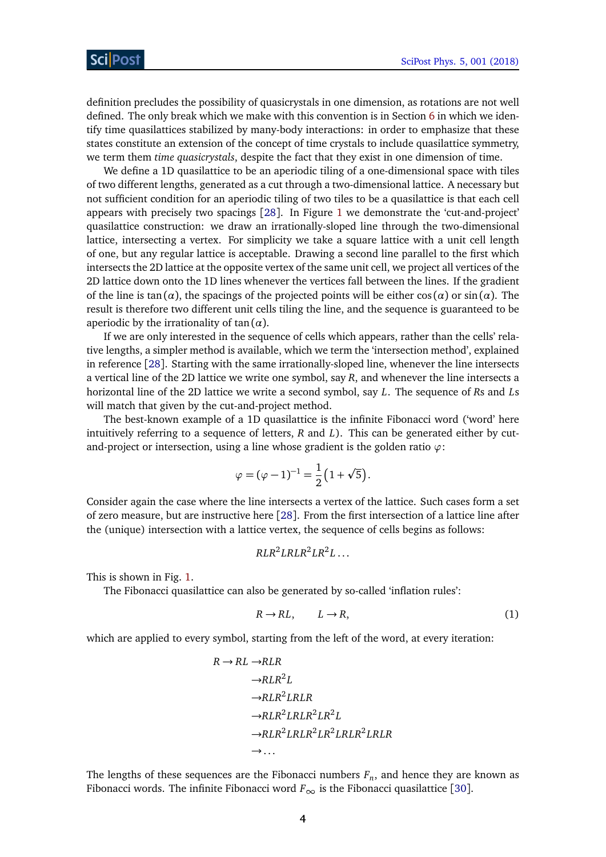definition precludes the possibility of quasicrystals in one dimension, as rotations are not well defined. The only break which we make with this convention is in Section [6](#page-26-0) in which we identify time quasilattices stabilized by many-body interactions: in order to emphasize that these states constitute an extension of the concept of time crystals to include quasilattice symmetry, we term them *time quasicrystals*, despite the fact that they exist in one dimension of time.

We define a 1D quasilattice to be an aperiodic tiling of a one-dimensional space with tiles of two different lengths, generated as a cut through a two-dimensional lattice. A necessary but not sufficient condition for an aperiodic tiling of two tiles to be a quasilattice is that each cell appears with precisely two spacings [[28](#page-31-13)]. In Figure [1](#page-4-0) we demonstrate the 'cut-and-project' quasilattice construction: we draw an irrationally-sloped line through the two-dimensional lattice, intersecting a vertex. For simplicity we take a square lattice with a unit cell length of one, but any regular lattice is acceptable. Drawing a second line parallel to the first which intersects the 2D lattice at the opposite vertex of the same unit cell, we project all vertices of the 2D lattice down onto the 1D lines whenever the vertices fall between the lines. If the gradient of the line is tan( $\alpha$ ), the spacings of the projected points will be either  $\cos(\alpha)$  or  $\sin(\alpha)$ . The result is therefore two different unit cells tiling the line, and the sequence is guaranteed to be aperiodic by the irrationality of  $tan(\alpha)$ .

If we are only interested in the sequence of cells which appears, rather than the cells' relative lengths, a simpler method is available, which we term the 'intersection method', explained in reference [[28](#page-31-13)]. Starting with the same irrationally-sloped line, whenever the line intersects a vertical line of the 2D lattice we write one symbol, say *R*, and whenever the line intersects a horizontal line of the 2D lattice we write a second symbol, say *L*. The sequence of *R*s and *L*s will match that given by the cut-and-project method.

The best-known example of a 1D quasilattice is the infinite Fibonacci word ('word' here intuitively referring to a sequence of letters, *R* and *L*). This can be generated either by cutand-project or intersection, using a line whose gradient is the golden ratio *ϕ*:

$$
\varphi = (\varphi - 1)^{-1} = \frac{1}{2} (1 + \sqrt{5}).
$$

Consider again the case where the line intersects a vertex of the lattice. Such cases form a set of zero measure, but are instructive here [[28](#page-31-13)]. From the first intersection of a lattice line after the (unique) intersection with a lattice vertex, the sequence of cells begins as follows:

$$
RLR^2LRLR^2LR^2L\ldots
$$

This is shown in Fig. [1.](#page-4-0)

The Fibonacci quasilattice can also be generated by so-called 'inflation rules':

$$
R \to RL, \qquad L \to R,\tag{1}
$$

which are applied to every symbol, starting from the left of the word, at every iteration:

$$
R \rightarrow RL \rightarrow RLR
$$
  
\n
$$
\rightarrow RLR^{2}L
$$
  
\n
$$
\rightarrow RLR^{2}LRLR
$$
  
\n
$$
\rightarrow RLR^{2}LRLR^{2}LR^{2}L
$$
  
\n
$$
\rightarrow RLR^{2}LRLR^{2}LRLR^{2}LRLR^{2}LRLR
$$
  
\n
$$
\rightarrow \dots
$$

The lengths of these sequences are the Fibonacci numbers *F<sup>n</sup>* , and hence they are known as Fibonacci words. The infinite Fibonacci word  $F_{\infty}$  is the Fibonacci quasilattice [[30](#page-31-15)].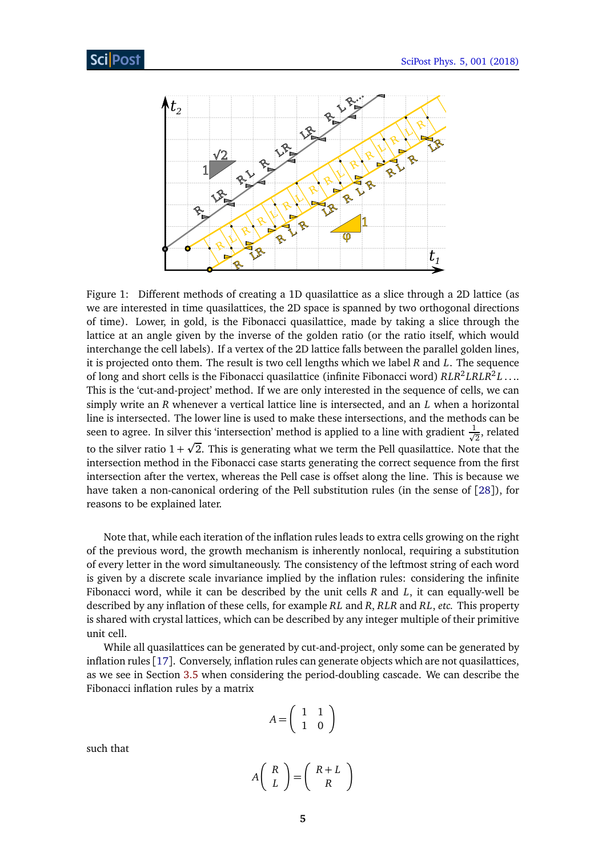

<span id="page-4-0"></span>Figure 1: Different methods of creating a 1D quasilattice as a slice through a 2D lattice (as we are interested in time quasilattices, the 2D space is spanned by two orthogonal directions of time). Lower, in gold, is the Fibonacci quasilattice, made by taking a slice through the lattice at an angle given by the inverse of the golden ratio (or the ratio itself, which would interchange the cell labels). If a vertex of the 2D lattice falls between the parallel golden lines, it is projected onto them. The result is two cell lengths which we label *R* and *L*. The sequence of long and short cells is the Fibonacci quasilattice (infinite Fibonacci word)  $RLR^2 LRLR^2 L \ldots$ This is the 'cut-and-project' method. If we are only interested in the sequence of cells, we can simply write an *R* whenever a vertical lattice line is intersected, and an *L* when a horizontal line is intersected. The lower line is used to make these intersections, and the methods can be seen to agree. In silver this 'intersection' method is applied to a line with gradient  $\frac{1}{\sqrt{2}}$ er this 'intersection' method is applied to a line with gradient  $\frac{1}{\sqrt{2}}$ , related  $\frac{1}{\sqrt{2}}$ to the silver ratio  $1+\surd 2.$  This is generating what we term the Pell quasilattice. Note that the intersection method in the Fibonacci case starts generating the correct sequence from the first intersection after the vertex, whereas the Pell case is offset along the line. This is because we have taken a non-canonical ordering of the Pell substitution rules (in the sense of [[28](#page-31-13)]), for reasons to be explained later.

Note that, while each iteration of the inflation rules leads to extra cells growing on the right of the previous word, the growth mechanism is inherently nonlocal, requiring a substitution of every letter in the word simultaneously. The consistency of the leftmost string of each word is given by a discrete scale invariance implied by the inflation rules: considering the infinite Fibonacci word, while it can be described by the unit cells *R* and *L*, it can equally-well be described by any inflation of these cells, for example *RL* and *R*, *RLR* and *RL*, *etc.* This property is shared with crystal lattices, which can be described by any integer multiple of their primitive unit cell.

While all quasilattices can be generated by cut-and-project, only some can be generated by inflation rules [[17](#page-31-6)]. Conversely, inflation rules can generate objects which are not quasilattices, as we see in Section [3.5](#page-12-0) when considering the period-doubling cascade. We can describe the Fibonacci inflation rules by a matrix

$$
A = \left(\begin{array}{cc} 1 & 1 \\ 1 & 0 \end{array}\right)
$$

such that

$$
A\left(\begin{array}{c} R \\ L \end{array}\right) = \left(\begin{array}{c} R+L \\ R \end{array}\right)
$$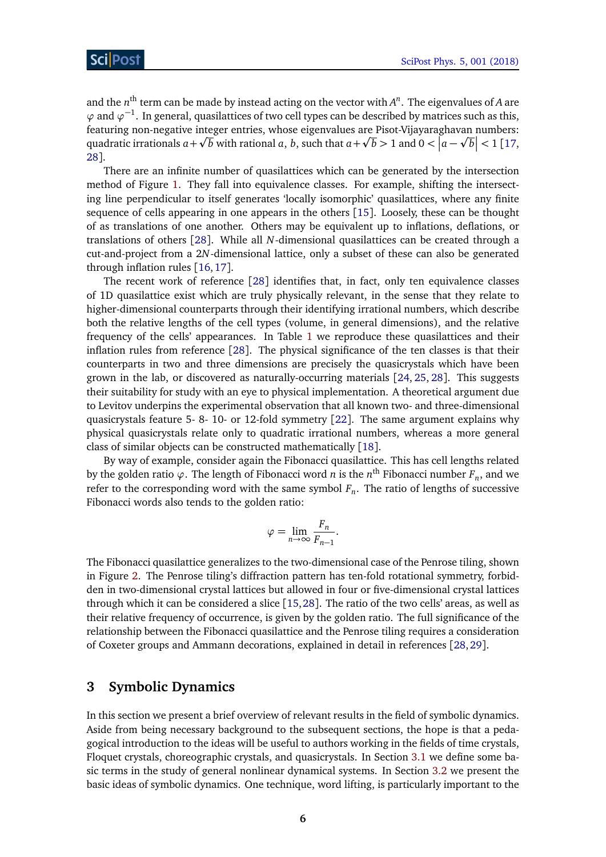and the  $n^{\text{th}}$  term can be made by instead acting on the vector with  $A^n$ . The eigenvalues of *A* are  $\varphi$  and  $\varphi$ <sup>-1</sup>. In general, quasilattices of two cell types can be described by matrices such as this, featuring non-negative integer entries, whose eigenvalues are Pisot-Vijayaraghavan numbers: p p p quadratic irrationals  $a + \sqrt{b}$  with rational  $a, b$ , such that  $a + \sqrt{b} > 1$  and  $0 < |a - \sqrt{b}| < 1$  [[17,](#page-31-6) [28](#page-31-13)].

There are an infinite number of quasilattices which can be generated by the intersection method of Figure [1.](#page-4-0) They fall into equivalence classes. For example, shifting the intersecting line perpendicular to itself generates 'locally isomorphic' quasilattices, where any finite sequence of cells appearing in one appears in the others [[15](#page-31-2)]. Loosely, these can be thought of as translations of one another. Others may be equivalent up to inflations, deflations, or translations of others [[28](#page-31-13)]. While all *N*-dimensional quasilattices can be created through a cut-and-project from a 2*N*-dimensional lattice, only a subset of these can also be generated through inflation rules [[16,](#page-31-10)[17](#page-31-6)].

The recent work of reference [[28](#page-31-13)] identifies that, in fact, only ten equivalence classes of 1D quasilattice exist which are truly physically relevant, in the sense that they relate to higher-dimensional counterparts through their identifying irrational numbers, which describe both the relative lengths of the cell types (volume, in general dimensions), and the relative frequency of the cells' appearances. In Table [1](#page-6-1) we reproduce these quasilattices and their inflation rules from reference [[28](#page-31-13)]. The physical significance of the ten classes is that their counterparts in two and three dimensions are precisely the quasicrystals which have been grown in the lab, or discovered as naturally-occurring materials [[24,](#page-31-16) [25,](#page-31-9) [28](#page-31-13)]. This suggests their suitability for study with an eye to physical implementation. A theoretical argument due to Levitov underpins the experimental observation that all known two- and three-dimensional quasicrystals feature 5- 8- 10- or 12-fold symmetry [[22](#page-31-7)]. The same argument explains why physical quasicrystals relate only to quadratic irrational numbers, whereas a more general class of similar objects can be constructed mathematically [[18](#page-31-3)].

By way of example, consider again the Fibonacci quasilattice. This has cell lengths related by the golden ratio  $\varphi$ . The length of Fibonacci word  $n$  is the  $n^{\text{th}}$  Fibonacci number  $F_n$ , and we refer to the corresponding word with the same symbol *F<sup>n</sup>* . The ratio of lengths of successive Fibonacci words also tends to the golden ratio:

$$
\varphi = \lim_{n \to \infty} \frac{F_n}{F_{n-1}}.
$$

The Fibonacci quasilattice generalizes to the two-dimensional case of the Penrose tiling, shown in Figure [2.](#page-7-0) The Penrose tiling's diffraction pattern has ten-fold rotational symmetry, forbidden in two-dimensional crystal lattices but allowed in four or five-dimensional crystal lattices through which it can be considered a slice [[15,](#page-31-2)[28](#page-31-13)]. The ratio of the two cells' areas, as well as their relative frequency of occurrence, is given by the golden ratio. The full significance of the relationship between the Fibonacci quasilattice and the Penrose tiling requires a consideration of Coxeter groups and Ammann decorations, explained in detail in references [[28,](#page-31-13)[29](#page-31-14)].

## <span id="page-5-0"></span>**3 Symbolic Dynamics**

In this section we present a brief overview of relevant results in the field of symbolic dynamics. Aside from being necessary background to the subsequent sections, the hope is that a pedagogical introduction to the ideas will be useful to authors working in the fields of time crystals, Floquet crystals, choreographic crystals, and quasicrystals. In Section [3.1](#page-6-0) we define some basic terms in the study of general nonlinear dynamical systems. In Section [3.2](#page-8-0) we present the basic ideas of symbolic dynamics. One technique, word lifting, is particularly important to the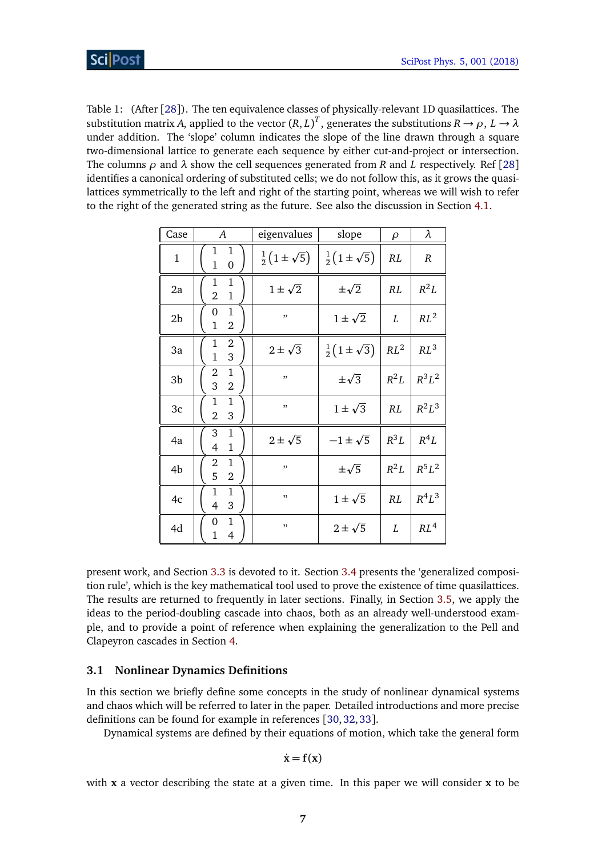<span id="page-6-1"></span>Table 1: (After [[28](#page-31-13)]). The ten equivalence classes of physically-relevant 1D quasilattices. The substitution matrix *A*, applied to the vector  $(R, L)^T$ , generates the substitutions  $R \to \rho$ ,  $L \to \lambda$ under addition. The 'slope' column indicates the slope of the line drawn through a square two-dimensional lattice to generate each sequence by either cut-and-project or intersection. The columns  $\rho$  and  $\lambda$  show the cell sequences generated from *R* and *L* respectively. Ref [[28](#page-31-13)] identifies a canonical ordering of substituted cells; we do not follow this, as it grows the quasilattices symmetrically to the left and right of the starting point, whereas we will wish to refer to the right of the generated string as the future. See also the discussion in Section [4.1.](#page-14-1)

| Case           | $\boldsymbol{A}$                                              | eigenvalues                   | slope                         | $\rho$ | λ               |
|----------------|---------------------------------------------------------------|-------------------------------|-------------------------------|--------|-----------------|
| $\mathbf{1}$   | 1<br>1<br>$\mathbf{1}$<br>0                                   | $\frac{1}{2}(1 \pm \sqrt{5})$ | $\frac{1}{2}(1 \pm \sqrt{5})$ | RL     | R               |
| 2a             | 1<br>1<br>$\overline{2}$<br>$\mathbf{1}$                      | $1 \pm \sqrt{2}$              | $\pm\sqrt{2}$                 | RL     | $R^2L$          |
| 2 <sub>b</sub> | 1<br>0<br>$\mathbf{1}$<br>2                                   | , ,                           | $1 \pm \sqrt{2}$              | L      | $RL^2$          |
| 3a             | $\mathbf{1}$<br>$\overline{2}$<br>$\overline{1}$<br>3         | $2\pm\sqrt{3}$                | $\frac{1}{2}(1 \pm \sqrt{3})$ | $RL^2$ | $RL^3$          |
| 3b             | $\mathbf{1}$<br>$\boldsymbol{2}$<br>3<br>$\overline{2}$       | , ,                           | $\pm\sqrt{3}$                 | $R^2L$ | $R^3L^2$        |
| 3c             | $\mathbf{1}$<br>$\mathbf{1}$<br>$\overline{2}$<br>3           | ,,                            | $1 \pm \sqrt{3}$              | RL     | $R^2L^3$        |
| 4a             | 3<br>$\mathbf{1}$<br>$\mathbf{1}$<br>$\overline{4}$           | $2 \pm \sqrt{5}$              | $-1\pm\sqrt{5}$               | $R^3L$ | $R^4L$          |
| 4b             | $\mathbf 1$<br>2<br>5<br>$\overline{2}$                       | ,,                            | $\pm\sqrt{5}$                 | $R^2L$ | $R^5L^2$        |
| 4c             | 1<br>1<br>$\overline{4}$<br>3                                 | ,,                            | $1 \pm \sqrt{5}$              | RL     | $R^4L^3$        |
| 4d             | $\mathbf{1}$<br>0<br>$\overline{\mathcal{A}}$<br>$\mathbf{1}$ | ,,                            | $2 \pm \sqrt{5}$              | L      | RL <sup>4</sup> |

present work, and Section [3.3](#page-10-0) is devoted to it. Section [3.4](#page-11-0) presents the 'generalized composition rule', which is the key mathematical tool used to prove the existence of time quasilattices. The results are returned to frequently in later sections. Finally, in Section [3.5,](#page-12-0) we apply the ideas to the period-doubling cascade into chaos, both as an already well-understood example, and to provide a point of reference when explaining the generalization to the Pell and Clapeyron cascades in Section [4.](#page-14-0)

### <span id="page-6-0"></span>**3.1 Nonlinear Dynamics Definitions**

In this section we briefly define some concepts in the study of nonlinear dynamical systems and chaos which will be referred to later in the paper. Detailed introductions and more precise definitions can be found for example in references [[30,](#page-31-15)[32,](#page-32-0)[33](#page-32-1)].

Dynamical systems are defined by their equations of motion, which take the general form

$$
\dot{\mathbf{x}} = \mathbf{f}(\mathbf{x})
$$

with **x** a vector describing the state at a given time. In this paper we will consider **x** to be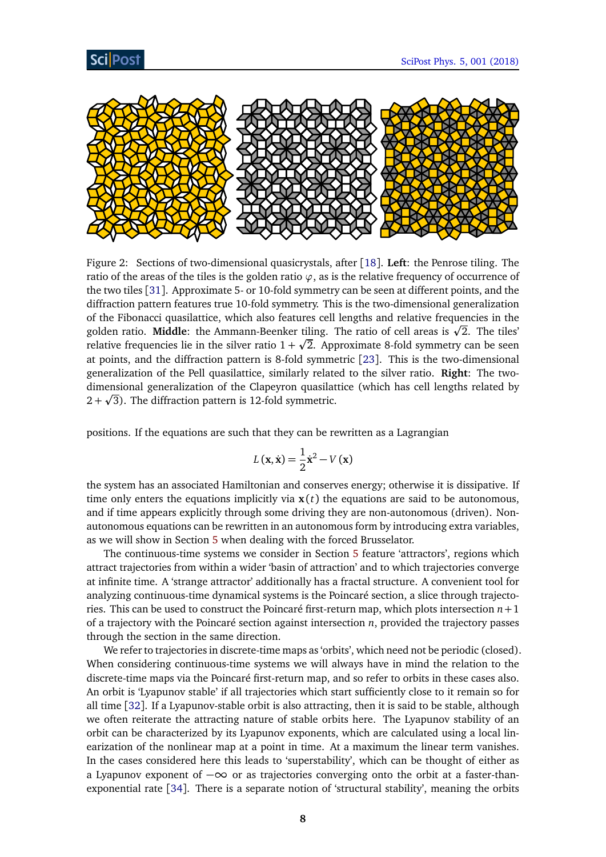

<span id="page-7-0"></span>Figure 2: Sections of two-dimensional quasicrystals, after [[18](#page-31-3)]. **Left**: the Penrose tiling. The ratio of the areas of the tiles is the golden ratio *ϕ*, as is the relative frequency of occurrence of the two tiles [[31](#page-32-2)]. Approximate 5- or 10-fold symmetry can be seen at different points, and the diffraction pattern features true 10-fold symmetry. This is the two-dimensional generalization of the Fibonacci quasilattice, which also features cell lengths and relative frequencies in the of the Fibonacci quasilattice, which also features cell lengths and relative frequencies in the<br>golden ratio. **Middle**: the Ammann-Beenker tiling. The ratio of cell areas is √2. The tiles' relative frequencies lie in the silver ratio  $1+\surd 2.$  Approximate 8-fold symmetry can be seen at points, and the diffraction pattern is 8-fold symmetric [[23](#page-31-8)]. This is the two-dimensional generalization of the Pell quasilattice, similarly related to the silver ratio. **Right**: The twodimensional generalization of the Clapeyron quasilattice (which has cell lengths related by p  $2 + \sqrt{3}$ ). The diffraction pattern is 12-fold symmetric.

positions. If the equations are such that they can be rewritten as a Lagrangian

$$
L(\mathbf{x}, \dot{\mathbf{x}}) = \frac{1}{2}\dot{\mathbf{x}}^2 - V(\mathbf{x})
$$

the system has an associated Hamiltonian and conserves energy; otherwise it is dissipative. If time only enters the equations implicitly via  $x(t)$  the equations are said to be autonomous, and if time appears explicitly through some driving they are non-autonomous (driven). Nonautonomous equations can be rewritten in an autonomous form by introducing extra variables, as we will show in Section [5](#page-20-1) when dealing with the forced Brusselator.

The continuous-time systems we consider in Section [5](#page-20-1) feature 'attractors', regions which attract trajectories from within a wider 'basin of attraction' and to which trajectories converge at infinite time. A 'strange attractor' additionally has a fractal structure. A convenient tool for analyzing continuous-time dynamical systems is the Poincaré section, a slice through trajectories. This can be used to construct the Poincaré first-return map, which plots intersection  $n+1$ of a trajectory with the Poincaré section against intersection *n*, provided the trajectory passes through the section in the same direction.

We refer to trajectories in discrete-time maps as 'orbits', which need not be periodic (closed). When considering continuous-time systems we will always have in mind the relation to the discrete-time maps via the Poincaré first-return map, and so refer to orbits in these cases also. An orbit is 'Lyapunov stable' if all trajectories which start sufficiently close to it remain so for all time [[32](#page-32-0)]. If a Lyapunov-stable orbit is also attracting, then it is said to be stable, although we often reiterate the attracting nature of stable orbits here. The Lyapunov stability of an orbit can be characterized by its Lyapunov exponents, which are calculated using a local linearization of the nonlinear map at a point in time. At a maximum the linear term vanishes. In the cases considered here this leads to 'superstability', which can be thought of either as a Lyapunov exponent of −∞ or as trajectories converging onto the orbit at a faster-thanexponential rate [[34](#page-32-3)]. There is a separate notion of 'structural stability', meaning the orbits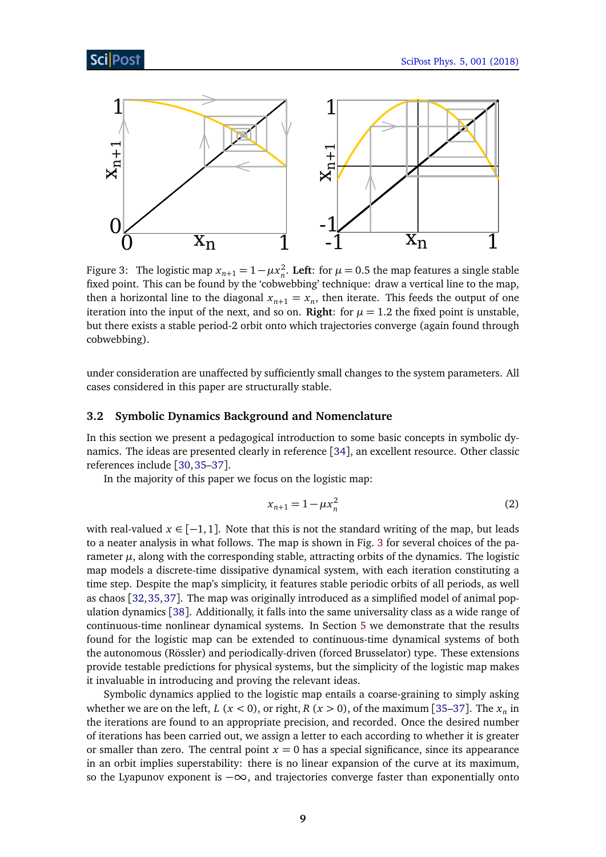

<span id="page-8-1"></span>Figure 3: The logistic map  $x_{n+1} = 1 - \mu x_n^2$ . Left: for  $\mu = 0.5$  the map features a single stable fixed point. This can be found by the 'cobwebbing' technique: draw a vertical line to the map, then a horizontal line to the diagonal  $x_{n+1} = x_n$ , then iterate. This feeds the output of one iteration into the input of the next, and so on. **Right**: for  $\mu = 1.2$  the fixed point is unstable, but there exists a stable period-2 orbit onto which trajectories converge (again found through cobwebbing).

under consideration are unaffected by sufficiently small changes to the system parameters. All cases considered in this paper are structurally stable.

### <span id="page-8-0"></span>**3.2 Symbolic Dynamics Background and Nomenclature**

In this section we present a pedagogical introduction to some basic concepts in symbolic dynamics. The ideas are presented clearly in reference [[34](#page-32-3)], an excellent resource. Other classic references include [[30,](#page-31-15)[35](#page-32-4)[–37](#page-32-5)].

In the majority of this paper we focus on the logistic map:

<span id="page-8-2"></span>
$$
x_{n+1} = 1 - \mu x_n^2 \tag{2}
$$

with real-valued  $x \in [-1, 1]$ . Note that this is not the standard writing of the map, but leads to a neater analysis in what follows. The map is shown in Fig. [3](#page-8-1) for several choices of the parameter  $\mu$ , along with the corresponding stable, attracting orbits of the dynamics. The logistic map models a discrete-time dissipative dynamical system, with each iteration constituting a time step. Despite the map's simplicity, it features stable periodic orbits of all periods, as well as chaos [[32,](#page-32-0)[35,](#page-32-4)[37](#page-32-5)]. The map was originally introduced as a simplified model of animal population dynamics [[38](#page-32-6)]. Additionally, it falls into the same universality class as a wide range of continuous-time nonlinear dynamical systems. In Section [5](#page-20-1) we demonstrate that the results found for the logistic map can be extended to continuous-time dynamical systems of both the autonomous (Rössler) and periodically-driven (forced Brusselator) type. These extensions provide testable predictions for physical systems, but the simplicity of the logistic map makes it invaluable in introducing and proving the relevant ideas.

Symbolic dynamics applied to the logistic map entails a coarse-graining to simply asking whether we are on the left,  $L$  ( $x < 0$ ), or right,  $R$  ( $x > 0$ ), of the maximum [[35](#page-32-4)[–37](#page-32-5)]. The  $x_n$  in the iterations are found to an appropriate precision, and recorded. Once the desired number of iterations has been carried out, we assign a letter to each according to whether it is greater or smaller than zero. The central point  $x = 0$  has a special significance, since its appearance in an orbit implies superstability: there is no linear expansion of the curve at its maximum, so the Lyapunov exponent is  $-\infty$ , and trajectories converge faster than exponentially onto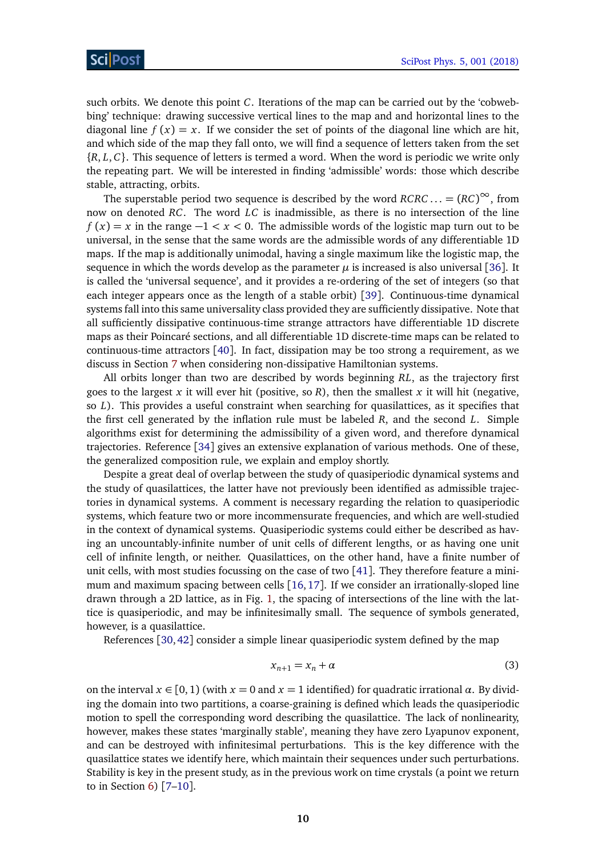such orbits. We denote this point *C*. Iterations of the map can be carried out by the 'cobwebbing' technique: drawing successive vertical lines to the map and and horizontal lines to the diagonal line  $f(x) = x$ . If we consider the set of points of the diagonal line which are hit, and which side of the map they fall onto, we will find a sequence of letters taken from the set {*R*, *L*, *C*}. This sequence of letters is termed a word. When the word is periodic we write only the repeating part. We will be interested in finding 'admissible' words: those which describe stable, attracting, orbits.

The superstable period two sequence is described by the word  $RCRC... = (RC)^{\infty}$ , from now on denoted *RC*. The word *LC* is inadmissible, as there is no intersection of the line  $f(x) = x$  in the range  $-1 < x < 0$ . The admissible words of the logistic map turn out to be universal, in the sense that the same words are the admissible words of any differentiable 1D maps. If the map is additionally unimodal, having a single maximum like the logistic map, the sequence in which the words develop as the parameter  $\mu$  is increased is also universal [[36](#page-32-7)]. It is called the 'universal sequence', and it provides a re-ordering of the set of integers (so that each integer appears once as the length of a stable orbit) [[39](#page-32-8)]. Continuous-time dynamical systems fall into this same universality class provided they are sufficiently dissipative. Note that all sufficiently dissipative continuous-time strange attractors have differentiable 1D discrete maps as their Poincaré sections, and all differentiable 1D discrete-time maps can be related to continuous-time attractors [[40](#page-32-9)]. In fact, dissipation may be too strong a requirement, as we discuss in Section [7](#page-28-0) when considering non-dissipative Hamiltonian systems.

All orbits longer than two are described by words beginning *RL*, as the trajectory first goes to the largest *x* it will ever hit (positive, so *R*), then the smallest *x* it will hit (negative, so *L*). This provides a useful constraint when searching for quasilattices, as it specifies that the first cell generated by the inflation rule must be labeled *R*, and the second *L*. Simple algorithms exist for determining the admissibility of a given word, and therefore dynamical trajectories. Reference [[34](#page-32-3)] gives an extensive explanation of various methods. One of these, the generalized composition rule, we explain and employ shortly.

Despite a great deal of overlap between the study of quasiperiodic dynamical systems and the study of quasilattices, the latter have not previously been identified as admissible trajectories in dynamical systems. A comment is necessary regarding the relation to quasiperiodic systems, which feature two or more incommensurate frequencies, and which are well-studied in the context of dynamical systems. Quasiperiodic systems could either be described as having an uncountably-infinite number of unit cells of different lengths, or as having one unit cell of infinite length, or neither. Quasilattices, on the other hand, have a finite number of unit cells, with most studies focussing on the case of two [[41](#page-32-10)]. They therefore feature a minimum and maximum spacing between cells  $[16,17]$  $[16,17]$  $[16,17]$  $[16,17]$ . If we consider an irrationally-sloped line drawn through a 2D lattice, as in Fig. [1,](#page-4-0) the spacing of intersections of the line with the lattice is quasiperiodic, and may be infinitesimally small. The sequence of symbols generated, however, is a quasilattice.

References [[30,](#page-31-15)[42](#page-32-11)] consider a simple linear quasiperiodic system defined by the map

$$
x_{n+1} = x_n + \alpha \tag{3}
$$

on the interval  $x \in [0, 1)$  (with  $x = 0$  and  $x = 1$  identified) for quadratic irrational  $\alpha$ . By dividing the domain into two partitions, a coarse-graining is defined which leads the quasiperiodic motion to spell the corresponding word describing the quasilattice. The lack of nonlinearity, however, makes these states 'marginally stable', meaning they have zero Lyapunov exponent, and can be destroyed with infinitesimal perturbations. This is the key difference with the quasilattice states we identify here, which maintain their sequences under such perturbations. Stability is key in the present study, as in the previous work on time crystals (a point we return to in Section  $6$ ) [7-[10](#page-30-6)].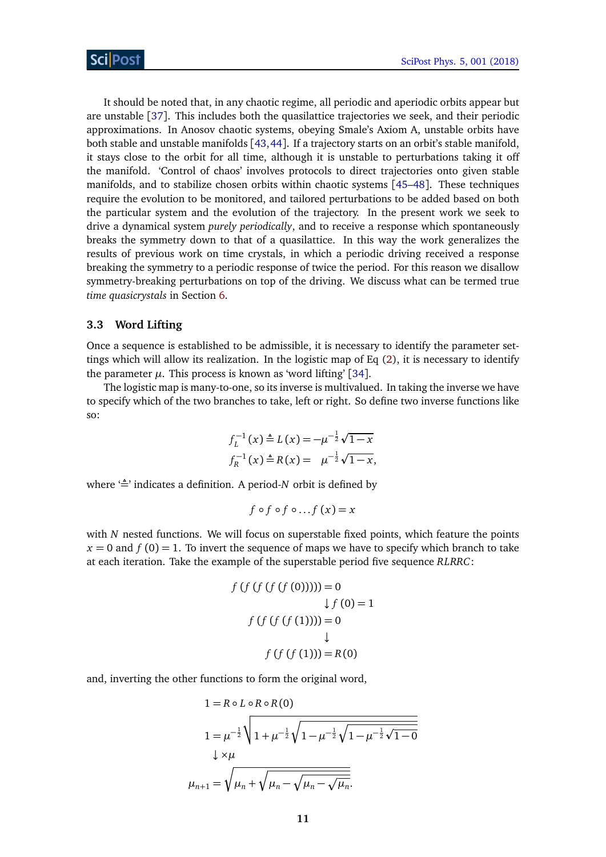It should be noted that, in any chaotic regime, all periodic and aperiodic orbits appear but are unstable [[37](#page-32-5)]. This includes both the quasilattice trajectories we seek, and their periodic approximations. In Anosov chaotic systems, obeying Smale's Axiom A, unstable orbits have both stable and unstable manifolds [[43,](#page-32-12)[44](#page-32-13)]. If a trajectory starts on an orbit's stable manifold, it stays close to the orbit for all time, although it is unstable to perturbations taking it off the manifold. 'Control of chaos' involves protocols to direct trajectories onto given stable manifolds, and to stabilize chosen orbits within chaotic systems [[45–](#page-32-14)[48](#page-32-15)]. These techniques require the evolution to be monitored, and tailored perturbations to be added based on both the particular system and the evolution of the trajectory. In the present work we seek to drive a dynamical system *purely periodically*, and to receive a response which spontaneously breaks the symmetry down to that of a quasilattice. In this way the work generalizes the results of previous work on time crystals, in which a periodic driving received a response breaking the symmetry to a periodic response of twice the period. For this reason we disallow symmetry-breaking perturbations on top of the driving. We discuss what can be termed true *time quasicrystals* in Section [6.](#page-26-0)

#### <span id="page-10-0"></span>**3.3 Word Lifting**

Once a sequence is established to be admissible, it is necessary to identify the parameter settings which will allow its realization. In the logistic map of Eq [\(2\)](#page-8-2), it is necessary to identify the parameter  $\mu$ . This process is known as 'word lifting' [[34](#page-32-3)].

The logistic map is many-to-one, so its inverse is multivalued. In taking the inverse we have to specify which of the two branches to take, left or right. So define two inverse functions like so:

$$
f_L^{-1}(x) \triangleq L(x) = -\mu^{-\frac{1}{2}}\sqrt{1-x}
$$
  

$$
f_R^{-1}(x) \triangleq R(x) = \mu^{-\frac{1}{2}}\sqrt{1-x},
$$

where  $\triangleq$  indicates a definition. A period-*N* orbit is defined by

$$
f \circ f \circ f \circ \ldots f (x) = x
$$

with *N* nested functions. We will focus on superstable fixed points, which feature the points  $x = 0$  and  $f(0) = 1$ . To invert the sequence of maps we have to specify which branch to take at each iteration. Take the example of the superstable period five sequence *RLRRC*:

$$
f(f(f(f(0)))) = 0
$$
  
\n
$$
\downarrow f(0) = 1
$$
  
\n
$$
f(f(f(f(1)))) = 0
$$
  
\n
$$
\downarrow
$$
  
\n
$$
f(f(f(1))) = R(0)
$$

and, inverting the other functions to form the original word,

$$
1 = R \circ L \circ R \circ R(0)
$$
  
\n
$$
1 = \mu^{-\frac{1}{2}} \sqrt{1 + \mu^{-\frac{1}{2}} \sqrt{1 - \mu^{-\frac{1}{2}} \sqrt{1 - \mu^{-\frac{1}{2}} \sqrt{1 - 0}}}}
$$
  
\n
$$
\downarrow \times \mu
$$
  
\n
$$
\mu_{n+1} = \sqrt{\mu_n + \sqrt{\mu_n - \sqrt{\mu_n} - \sqrt{\mu_n}}}.
$$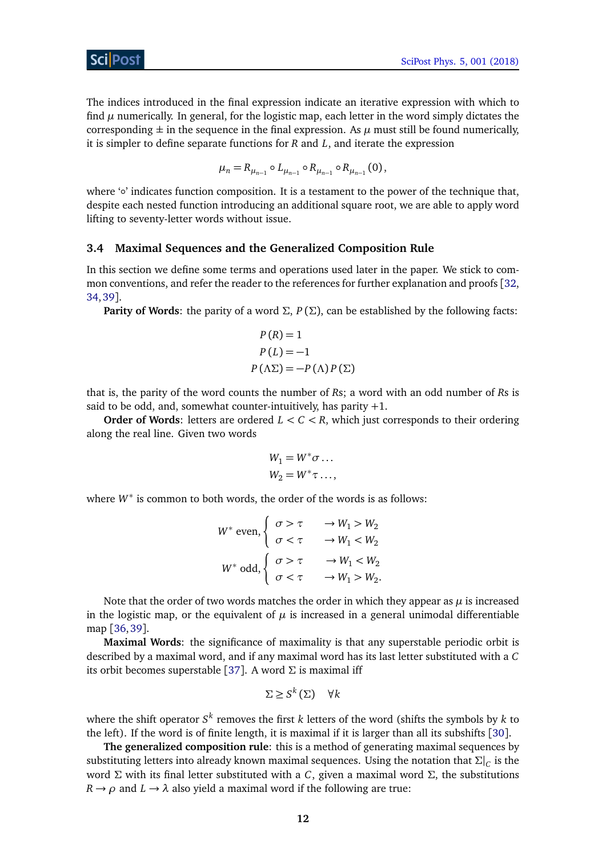The indices introduced in the final expression indicate an iterative expression with which to find  $\mu$  numerically. In general, for the logistic map, each letter in the word simply dictates the corresponding  $\pm$  in the sequence in the final expression. As  $\mu$  must still be found numerically, it is simpler to define separate functions for *R* and *L*, and iterate the expression

$$
\mu_n = R_{\mu_{n-1}} \circ L_{\mu_{n-1}} \circ R_{\mu_{n-1}} \circ R_{\mu_{n-1}}(0),
$$

where '∘' indicates function composition. It is a testament to the power of the technique that, despite each nested function introducing an additional square root, we are able to apply word lifting to seventy-letter words without issue.

### <span id="page-11-0"></span>**3.4 Maximal Sequences and the Generalized Composition Rule**

In this section we define some terms and operations used later in the paper. We stick to common conventions, and refer the reader to the references for further explanation and proofs [[32,](#page-32-0) [34,](#page-32-3)[39](#page-32-8)].

**Parity of Words**: the parity of a word *Σ*,  $P(\Sigma)$ , can be established by the following facts:

$$
P(R) = 1
$$
  
 
$$
P(L) = -1
$$
  
 
$$
P(\Lambda \Sigma) = -P(\Lambda)P(\Sigma)
$$

that is, the parity of the word counts the number of *R*s; a word with an odd number of *R*s is said to be odd, and, somewhat counter-intuitively, has parity  $+1$ .

**Order of Words:** letters are ordered  $L < C < R$ , which just corresponds to their ordering along the real line. Given two words

$$
W_1 = W^* \sigma \dots
$$
  

$$
W_2 = W^* \tau \dots,
$$

where  $W^*$  is common to both words, the order of the words is as follows:

$$
W^* \text{ even,} \begin{cases} \sigma > \tau & \to W_1 > W_2 \\ \sigma < \tau & \to W_1 < W_2 \end{cases}
$$
\n
$$
W^* \text{ odd,} \begin{cases} \sigma > \tau & \to W_1 < W_2 \\ \sigma < \tau & \to W_1 > W_2. \end{cases}
$$

Note that the order of two words matches the order in which they appear as  $\mu$  is increased in the logistic map, or the equivalent of  $\mu$  is increased in a general unimodal differentiable map [[36,](#page-32-7)[39](#page-32-8)].

**Maximal Words**: the significance of maximality is that any superstable periodic orbit is described by a maximal word, and if any maximal word has its last letter substituted with a *C* its orbit becomes superstable [[37](#page-32-5)]. A word *Σ* is maximal iff

$$
\Sigma \ge S^k(\Sigma) \quad \forall k
$$

where the shift operator *S k* removes the first *k* letters of the word (shifts the symbols by *k* to the left). If the word is of finite length, it is maximal if it is larger than all its subshifts [[30](#page-31-15)].

**The generalized composition rule**: this is a method of generating maximal sequences by substituting letters into already known maximal sequences. Using the notation that  $\Sigma|_C$  is the word *Σ* with its final letter substituted with a *C*, given a maximal word *Σ*, the substitutions  $R \rightarrow \rho$  and  $L \rightarrow \lambda$  also yield a maximal word if the following are true: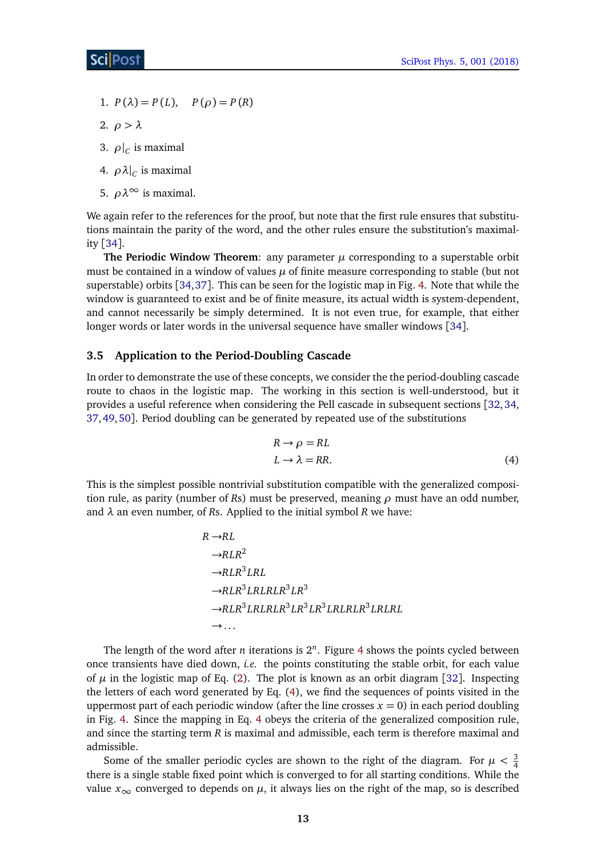- 1.  $P(\lambda) = P(L), \quad P(\rho) = P(R)$
- 2. *ρ > λ*
- 3.  $\rho|_C$  is maximal
- 4.  $\rho \lambda \vert_C$  is maximal
- 5. *ρλ*<sup>∞</sup> is maximal.

We again refer to the references for the proof, but note that the first rule ensures that substitutions maintain the parity of the word, and the other rules ensure the substitution's maximality [[34](#page-32-3)].

**The Periodic Window Theorem:** any parameter  $\mu$  corresponding to a superstable orbit must be contained in a window of values *µ* of finite measure corresponding to stable (but not superstable) orbits [[34,](#page-32-3)[37](#page-32-5)]. This can be seen for the logistic map in Fig. [4.](#page-13-0) Note that while the window is guaranteed to exist and be of finite measure, its actual width is system-dependent, and cannot necessarily be simply determined. It is not even true, for example, that either longer words or later words in the universal sequence have smaller windows [[34](#page-32-3)].

### <span id="page-12-0"></span>**3.5 Application to the Period-Doubling Cascade**

In order to demonstrate the use of these concepts, we consider the the period-doubling cascade route to chaos in the logistic map. The working in this section is well-understood, but it provides a useful reference when considering the Pell cascade in subsequent sections [[32,](#page-32-0)[34,](#page-32-3) [37,](#page-32-5)[49,](#page-32-16)[50](#page-33-0)]. Period doubling can be generated by repeated use of the substitutions

<span id="page-12-1"></span>
$$
R \to \rho = RL
$$
  
\n
$$
L \to \lambda = RR.
$$
 (4)

This is the simplest possible nontrivial substitution compatible with the generalized composition rule, as parity (number of *R*s) must be preserved, meaning *ρ* must have an odd number, and *λ* an even number, of *R*s. Applied to the initial symbol *R* we have:

$$
R \rightarrow RL
$$
  
\n→ $RLR^2$   
\n→ $RLR^3 LRL$   
\n→ $RLR^3 LRLRLR^3 LR^3$   
\n→ $RLR^3 LRLRLR^3 LR^3 LR^3 LRLRLR^3 LRLRLR^3$   
\n→...

The length of the word after *n* iterations is  $2^n$ . Figure [4](#page-13-0) shows the points cycled between once transients have died down, *i.e.* the points constituting the stable orbit, for each value of  $\mu$  in the logistic map of Eq. [\(2\)](#page-8-2). The plot is known as an orbit diagram [[32](#page-32-0)]. Inspecting the letters of each word generated by Eq. [\(4\)](#page-12-1), we find the sequences of points visited in the uppermost part of each periodic window (after the line crosses  $x = 0$ ) in each period doubling in Fig. [4.](#page-13-0) Since the mapping in Eq. [4](#page-12-1) obeys the criteria of the generalized composition rule, and since the starting term *R* is maximal and admissible, each term is therefore maximal and admissible.

Some of the smaller periodic cycles are shown to the right of the diagram. For  $\mu < \frac{3}{4}$ there is a single stable fixed point which is converged to for all starting conditions. While the value  $x_{\infty}$  converged to depends on  $\mu$ , it always lies on the right of the map, so is described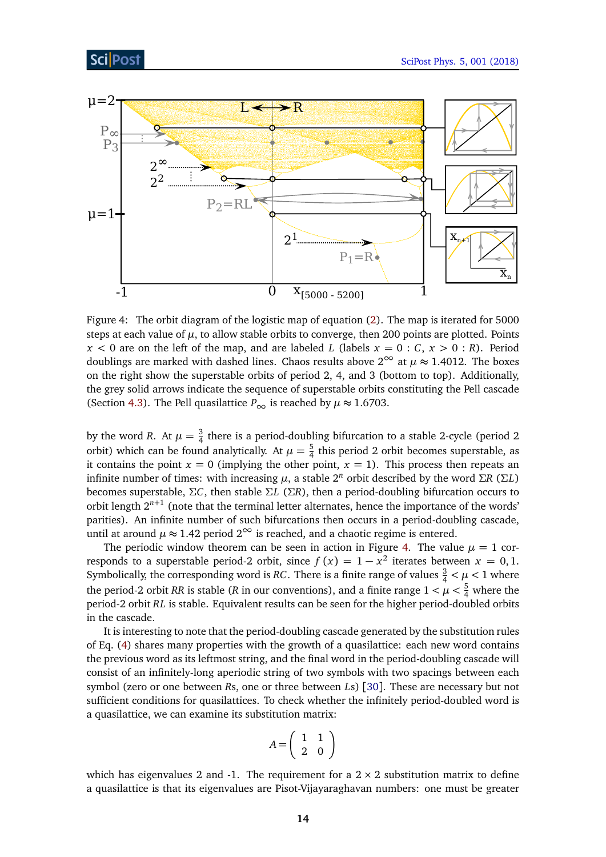



<span id="page-13-0"></span>Figure 4: The orbit diagram of the logistic map of equation [\(2\)](#page-8-2). The map is iterated for 5000 steps at each value of  $\mu$ , to allow stable orbits to converge, then 200 points are plotted. Points  $x < 0$  are on the left of the map, and are labeled *L* (labels  $x = 0 : C, x > 0 : R$ ). Period doublings are marked with dashed lines. Chaos results above  $2^{\infty}$  at  $\mu \approx 1.4012$ . The boxes on the right show the superstable orbits of period 2, 4, and 3 (bottom to top). Additionally, the grey solid arrows indicate the sequence of superstable orbits constituting the Pell cascade (Section [4.3\)](#page-17-0). The Pell quasilattice  $P_{\infty}$  is reached by  $\mu \approx 1.6703$ .

by the word *R*. At  $\mu = \frac{3}{4}$  $\frac{3}{4}$  there is a period-doubling bifurcation to a stable 2-cycle (period 2 orbit) which can be found analytically. At  $\mu = \frac{5}{4}$  $\frac{5}{4}$  this period 2 orbit becomes superstable, as it contains the point  $x = 0$  (implying the other point,  $x = 1$ ). This process then repeats an infinite number of times: with increasing  $\mu$ , a stable  $2^n$  orbit described by the word Σ*R* (Σ*L*) becomes superstable, *ΣC*, then stable *ΣL* (*ΣR*), then a period-doubling bifurcation occurs to orbit length 2*n*+<sup>1</sup> (note that the terminal letter alternates, hence the importance of the words' parities). An infinite number of such bifurcations then occurs in a period-doubling cascade, until at around  $\mu \approx 1.42$  period  $2^{\infty}$  is reached, and a chaotic regime is entered.

The periodic window theorem can be seen in action in Figure [4.](#page-13-0) The value  $\mu = 1$  corresponds to a superstable period-2 orbit, since  $f(x) = 1 - x^2$  iterates between  $x = 0, 1$ . Symbolically, the corresponding word is *RC*. There is a finite range of values  $\frac{3}{4} < \mu < 1$  where the period-2 orbit *RR* is stable (*R* in our conventions), and a finite range  $1 < \mu < \frac{5}{4}$  where the period-2 orbit *RL* is stable. Equivalent results can be seen for the higher period-doubled orbits in the cascade.

It is interesting to note that the period-doubling cascade generated by the substitution rules of Eq. [\(4\)](#page-12-1) shares many properties with the growth of a quasilattice: each new word contains the previous word as its leftmost string, and the final word in the period-doubling cascade will consist of an infinitely-long aperiodic string of two symbols with two spacings between each symbol (zero or one between *R*s, one or three between *L*s) [[30](#page-31-15)]. These are necessary but not sufficient conditions for quasilattices. To check whether the infinitely period-doubled word is a quasilattice, we can examine its substitution matrix:

$$
A = \left(\begin{array}{cc} 1 & 1 \\ 2 & 0 \end{array}\right)
$$

which has eigenvalues 2 and -1. The requirement for a  $2 \times 2$  substitution matrix to define a quasilattice is that its eigenvalues are Pisot-Vijayaraghavan numbers: one must be greater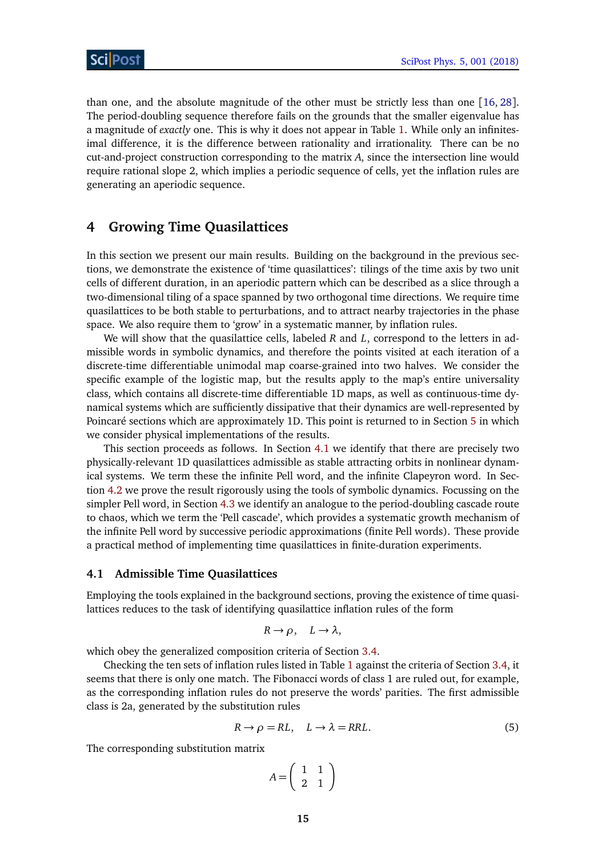than one, and the absolute magnitude of the other must be strictly less than one [[16,](#page-31-10) [28](#page-31-13)]. The period-doubling sequence therefore fails on the grounds that the smaller eigenvalue has a magnitude of *exactly* one. This is why it does not appear in Table [1.](#page-6-1) While only an infinitesimal difference, it is the difference between rationality and irrationality. There can be no cut-and-project construction corresponding to the matrix *A*, since the intersection line would require rational slope 2, which implies a periodic sequence of cells, yet the inflation rules are generating an aperiodic sequence.

### <span id="page-14-0"></span>**4 Growing Time Quasilattices**

In this section we present our main results. Building on the background in the previous sections, we demonstrate the existence of 'time quasilattices': tilings of the time axis by two unit cells of different duration, in an aperiodic pattern which can be described as a slice through a two-dimensional tiling of a space spanned by two orthogonal time directions. We require time quasilattices to be both stable to perturbations, and to attract nearby trajectories in the phase space. We also require them to 'grow' in a systematic manner, by inflation rules.

We will show that the quasilattice cells, labeled *R* and *L*, correspond to the letters in admissible words in symbolic dynamics, and therefore the points visited at each iteration of a discrete-time differentiable unimodal map coarse-grained into two halves. We consider the specific example of the logistic map, but the results apply to the map's entire universality class, which contains all discrete-time differentiable 1D maps, as well as continuous-time dynamical systems which are sufficiently dissipative that their dynamics are well-represented by Poincaré sections which are approximately 1D. This point is returned to in Section [5](#page-20-1) in which we consider physical implementations of the results.

This section proceeds as follows. In Section [4.1](#page-14-1) we identify that there are precisely two physically-relevant 1D quasilattices admissible as stable attracting orbits in nonlinear dynamical systems. We term these the infinite Pell word, and the infinite Clapeyron word. In Section [4.2](#page-16-0) we prove the result rigorously using the tools of symbolic dynamics. Focussing on the simpler Pell word, in Section [4.3](#page-17-0) we identify an analogue to the period-doubling cascade route to chaos, which we term the 'Pell cascade', which provides a systematic growth mechanism of the infinite Pell word by successive periodic approximations (finite Pell words). These provide a practical method of implementing time quasilattices in finite-duration experiments.

#### <span id="page-14-1"></span>**4.1 Admissible Time Quasilattices**

Employing the tools explained in the background sections, proving the existence of time quasilattices reduces to the task of identifying quasilattice inflation rules of the form

$$
R \to \rho, \quad L \to \lambda,
$$

which obey the generalized composition criteria of Section [3.4.](#page-11-0)

Checking the ten sets of inflation rules listed in Table [1](#page-6-1) against the criteria of Section [3.4,](#page-11-0) it seems that there is only one match. The Fibonacci words of class 1 are ruled out, for example, as the corresponding inflation rules do not preserve the words' parities. The first admissible class is 2a, generated by the substitution rules

$$
R \to \rho = RL, \quad L \to \lambda = RRL. \tag{5}
$$

The corresponding substitution matrix

<span id="page-14-2"></span>
$$
A = \left(\begin{array}{cc} 1 & 1 \\ 2 & 1 \end{array}\right)
$$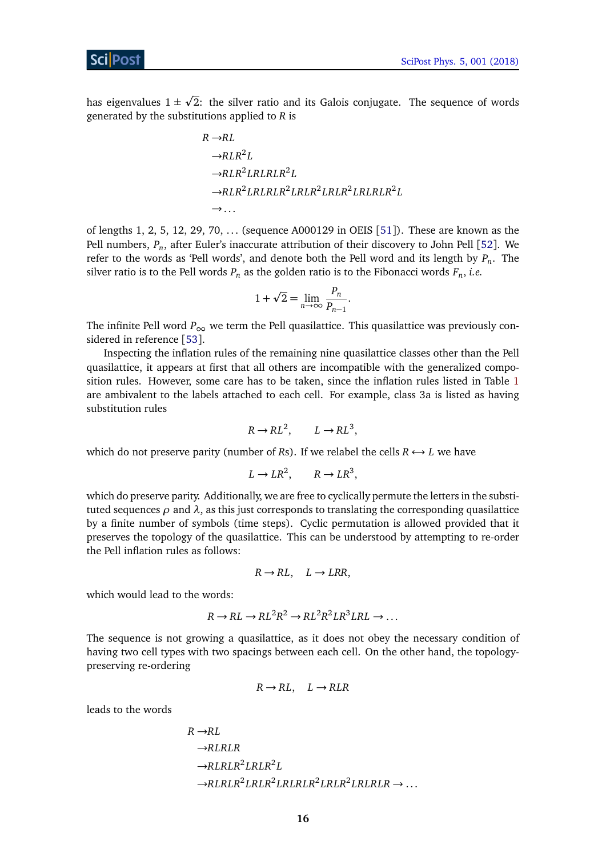has eigenvalues  $1 \pm$ p 2: the silver ratio and its Galois conjugate. The sequence of words generated by the substitutions applied to *R* is

$$
R \rightarrow R L
$$
  
\n→ RLR<sup>2</sup>L  
\n→ RLR<sup>2</sup>LRLRLR<sup>2</sup>L  
\n→ RLR<sup>2</sup>LRLRLR<sup>2</sup>LRLR<sup>2</sup>LRLR<sup>2</sup>LRLRLR<sup>2</sup>L  
\n→...

of lengths 1, 2, 5, 12, 29, 70, . . . (sequence A000129 in OEIS [[51](#page-33-1)]). These are known as the Pell numbers, *P<sup>n</sup>* , after Euler's inaccurate attribution of their discovery to John Pell [[52](#page-33-2)]. We refer to the words as 'Pell words', and denote both the Pell word and its length by *P<sup>n</sup>* . The silver ratio is to the Pell words *P<sup>n</sup>* as the golden ratio is to the Fibonacci words *F<sup>n</sup>* , *i.e.*

$$
1 + \sqrt{2} = \lim_{n \to \infty} \frac{P_n}{P_{n-1}}.
$$

The infinite Pell word  $P_{\infty}$  we term the Pell quasilattice. This quasilattice was previously considered in reference [[53](#page-33-3)].

Inspecting the inflation rules of the remaining nine quasilattice classes other than the Pell quasilattice, it appears at first that all others are incompatible with the generalized composition rules. However, some care has to be taken, since the inflation rules listed in Table [1](#page-6-1) are ambivalent to the labels attached to each cell. For example, class 3a is listed as having substitution rules

$$
R \to RL^2, \qquad L \to RL^3,
$$

which do not preserve parity (number of *Rs*). If we relabel the cells  $R \leftrightarrow L$  we have

$$
L \to LR^2, \qquad R \to LR^3,
$$

which do preserve parity. Additionally, we are free to cyclically permute the letters in the substituted sequences  $\rho$  and  $\lambda$ , as this just corresponds to translating the corresponding quasilattice by a finite number of symbols (time steps). Cyclic permutation is allowed provided that it preserves the topology of the quasilattice. This can be understood by attempting to re-order the Pell inflation rules as follows:

$$
R \to RL, \quad L \to LRR,
$$

which would lead to the words:

$$
R \to RL \to RL^2R^2 \to RL^2R^2LR^3LRL \to \dots
$$

The sequence is not growing a quasilattice, as it does not obey the necessary condition of having two cell types with two spacings between each cell. On the other hand, the topologypreserving re-ordering

$$
R \to RL, \quad L \to RLR
$$

leads to the words

$$
R \rightarrow R L
$$
  
\n→ RL RLR  
\n→ RL RLR<sup>2</sup> L RLR<sup>2</sup>L  
\n→ RL RLR<sup>2</sup> L RLRLRLRLR<sup>2</sup> L RLRRR<sup>2</sup> L RLRLRLR → ...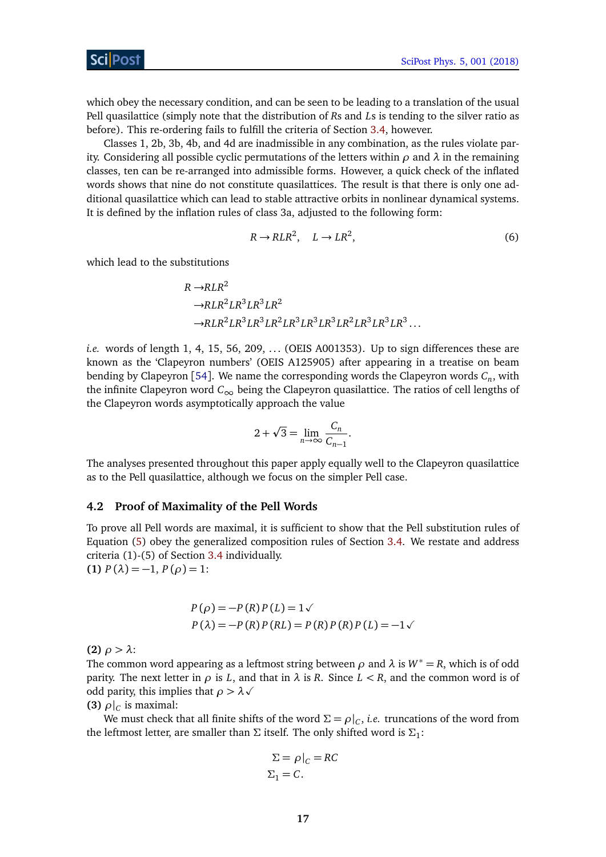which obey the necessary condition, and can be seen to be leading to a translation of the usual Pell quasilattice (simply note that the distribution of *R*s and *L*s is tending to the silver ratio as before). This re-ordering fails to fulfill the criteria of Section [3.4,](#page-11-0) however.

Classes 1, 2b, 3b, 4b, and 4d are inadmissible in any combination, as the rules violate parity. Considering all possible cyclic permutations of the letters within *ρ* and *λ* in the remaining classes, ten can be re-arranged into admissible forms. However, a quick check of the inflated words shows that nine do not constitute quasilattices. The result is that there is only one additional quasilattice which can lead to stable attractive orbits in nonlinear dynamical systems. It is defined by the inflation rules of class 3a, adjusted to the following form:

$$
R \to RLR^2, \quad L \to LR^2,\tag{6}
$$

which lead to the substitutions

$$
R \rightarrow RLR^2
$$
  
\n
$$
\rightarrow RLR^2LR^3LR^3LR^2
$$
  
\n
$$
\rightarrow RLR^2LR^3LR^3LR^2LR^3LR^3LR^3LR^2LR^3LR^3LR^3LR^3...
$$

*i.e.* words of length 1, 4, 15, 56, 209, ... (OEIS A001353). Up to sign differences these are known as the 'Clapeyron numbers' (OEIS A125905) after appearing in a treatise on beam bending by Clapeyron [[54](#page-33-4)]. We name the corresponding words the Clapeyron words *C<sup>n</sup>* , with the infinite Clapeyron word *C*∞ being the Clapeyron quasilattice. The ratios of cell lengths of the Clapeyron words asymptotically approach the value

$$
2 + \sqrt{3} = \lim_{n \to \infty} \frac{C_n}{C_{n-1}}.
$$

The analyses presented throughout this paper apply equally well to the Clapeyron quasilattice as to the Pell quasilattice, although we focus on the simpler Pell case.

### <span id="page-16-0"></span>**4.2 Proof of Maximality of the Pell Words**

To prove all Pell words are maximal, it is sufficient to show that the Pell substitution rules of Equation [\(5\)](#page-14-2) obey the generalized composition rules of Section [3.4.](#page-11-0) We restate and address criteria (1)-(5) of Section [3.4](#page-11-0) individually.

**(1)**  $P(\lambda) = -1, P(\rho) = 1$ :

$$
P(\rho) = -P(R) P(L) = 1 \checkmark
$$
  
 
$$
P(\lambda) = -P(R) P(RL) = P(R) P(R) P(L) = -1 \checkmark
$$

**(2)** *ρ > λ*:

The common word appearing as a leftmost string between  $\rho$  and  $\lambda$  is  $W^* = R$ , which is of odd parity. The next letter in  $\rho$  is *L*, and that in  $\lambda$  is *R*. Since  $L < R$ , and the common word is of odd parity, this implies that  $\rho > \lambda \sqrt{ }$ 

**(3)**  $\rho|_C$  is maximal:

We must check that all finite shifts of the word  $\Sigma = \rho|_{C}$ , *i.e.* truncations of the word from the leftmost letter, are smaller than Σ itself. The only shifted word is  $\Sigma_1$ :

$$
\Sigma = \rho|_{C} = RC
$$
  

$$
\Sigma_1 = C.
$$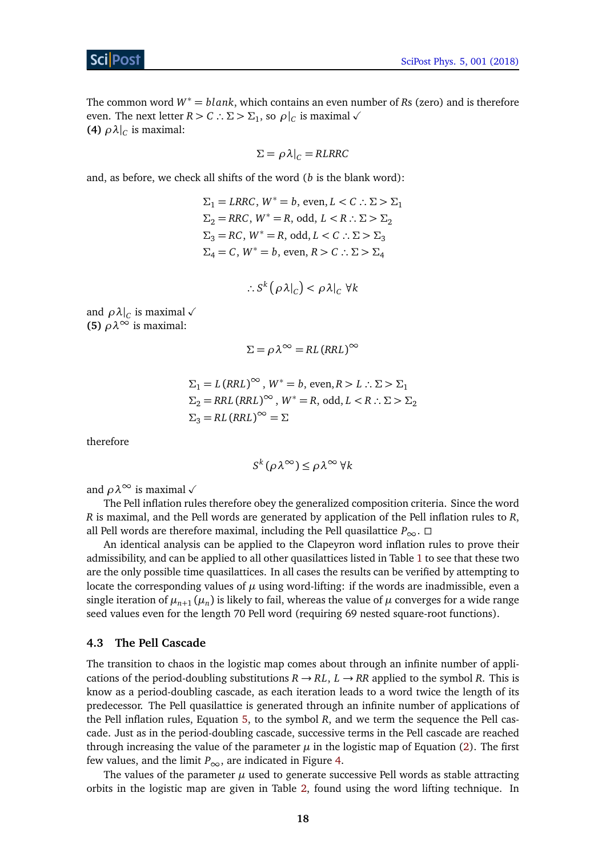The common word *<sup>W</sup>*<sup>∗</sup> <sup>=</sup> *blank*, which contains an even number of *<sup>R</sup>*s (zero) and is therefore even. The next letter *R* > *C* ∴  $\Sigma$  >  $\Sigma_1$ , so  $\rho|_C$  is maximal  $\checkmark$ **(4)**  $\rho \lambda \vert_C$  is maximal:

$$
\Sigma = \rho \lambda \vert_C = RLRRC
$$

and, as before, we check all shifts of the word (*b* is the blank word):

 $\Sigma_1 = LRRC$ ,  $W^* = b$ , even,  $L < C$  ∴  $\Sigma > \Sigma_1$  $\Sigma_2 = RRC$ ,  $W^* = R$ , odd,  $L < R$  ∴  $\Sigma > \Sigma_2$  $\Sigma$ <sub>3</sub> = *RC*,  $W$ <sup>\*</sup> = *R*, odd,  $L < C$  ∴  $\Sigma > \Sigma$ <sub>3</sub>  $Σ<sub>4</sub> = C$ ,  $W<sup>*</sup> = b$ , even,  $R > C$  ∴  $Σ > Σ<sub>4</sub>$ 

$$
\therefore S^k(\rho \lambda|_C) < \rho \lambda|_C \ \forall k
$$

and  $\rho \lambda|_C$  is maximal  $\sqrt{ }$ **(5)**  $\rho \lambda^{\infty}$  is maximal:

$$
\Sigma = \rho \lambda^{\infty} = R L (R R L)^{\infty}
$$

$$
\Sigma_1 = L (RRL)^{\infty}, W^* = b, \text{ even}, R > L : \Sigma > \Sigma_1
$$
  
\n
$$
\Sigma_2 = RRL (RRL)^{\infty}, W^* = R, \text{ odd}, L < R : \Sigma > \Sigma_2
$$
  
\n
$$
\Sigma_3 = RL (RRL)^{\infty} = \Sigma
$$

therefore

$$
S^k(\rho \lambda^{\infty}) \leq \rho \lambda^{\infty} \forall k
$$

and  $\rho \lambda^{\infty}$  is maximal  $\sqrt{ }$ 

The Pell inflation rules therefore obey the generalized composition criteria. Since the word *R* is maximal, and the Pell words are generated by application of the Pell inflation rules to *R*, all Pell words are therefore maximal, including the Pell quasilattice  $P_{\infty}$ . □

An identical analysis can be applied to the Clapeyron word inflation rules to prove their admissibility, and can be applied to all other quasilattices listed in Table [1](#page-6-1) to see that these two are the only possible time quasilattices. In all cases the results can be verified by attempting to locate the corresponding values of  $\mu$  using word-lifting: if the words are inadmissible, even a single iteration of  $\mu_{n+1}(\mu_n)$  is likely to fail, whereas the value of  $\mu$  converges for a wide range seed values even for the length 70 Pell word (requiring 69 nested square-root functions).

### <span id="page-17-0"></span>**4.3 The Pell Cascade**

The transition to chaos in the logistic map comes about through an infinite number of applications of the period-doubling substitutions  $R \rightarrow RL$ ,  $L \rightarrow RR$  applied to the symbol R. This is know as a period-doubling cascade, as each iteration leads to a word twice the length of its predecessor. The Pell quasilattice is generated through an infinite number of applications of the Pell inflation rules, Equation [5,](#page-14-2) to the symbol *R*, and we term the sequence the Pell cascade. Just as in the period-doubling cascade, successive terms in the Pell cascade are reached through increasing the value of the parameter  $\mu$  in the logistic map of Equation [\(2\)](#page-8-2). The first few values, and the limit  $P_{\infty}$ , are indicated in Figure [4.](#page-13-0)

The values of the parameter  $\mu$  used to generate successive Pell words as stable attracting orbits in the logistic map are given in Table [2,](#page-18-0) found using the word lifting technique. In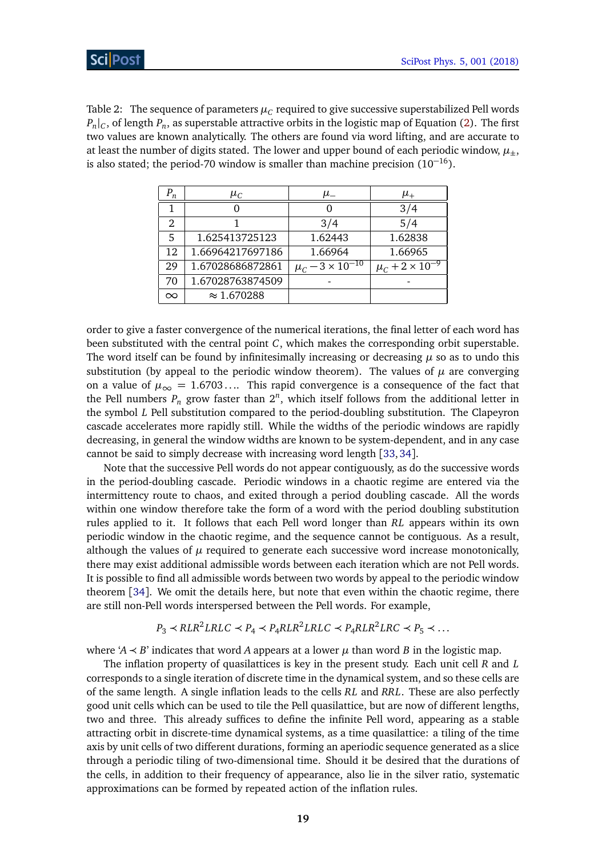<span id="page-18-0"></span>Table 2:  $\,$  The sequence of parameters  $\mu_C$  required to give successive superstabilized Pell words  $P_n|_C$ , of length  $P_n$ , as superstable attractive orbits in the logistic map of Equation [\(2\)](#page-8-2). The first two values are known analytically. The others are found via word lifting, and are accurate to at least the number of digits stated. The lower and upper bound of each periodic window,  $\mu_{+}$ , is also stated; the period-70 window is smaller than machine precision  $(10^{-16})$ .

| $P_n$    | $\mu_C$            | $\mu_-$                         | $\mu_+$                    |
|----------|--------------------|---------------------------------|----------------------------|
|          |                    |                                 | 3/4                        |
| 2        |                    | 3/4                             | 5/4                        |
| 5        | 1.625413725123     | 1.62443                         | 1.62838                    |
| 12       | 1.66964217697186   | 1.66964                         | 1.66965                    |
| 29       | 1.67028686872861   | $\mu_C$ – 3 × 10 <sup>-10</sup> | $\mu_C + 2 \times 10^{-7}$ |
| 70       | 1.67028763874509   |                                 |                            |
| $\infty$ | $\approx 1.670288$ |                                 |                            |

order to give a faster convergence of the numerical iterations, the final letter of each word has been substituted with the central point *C*, which makes the corresponding orbit superstable. The word itself can be found by infinitesimally increasing or decreasing  $\mu$  so as to undo this substitution (by appeal to the periodic window theorem). The values of  $\mu$  are converging on a value of  $\mu_{\infty} = 1.6703...$  This rapid convergence is a consequence of the fact that the Pell numbers  $P_n$  grow faster than  $2^n$ , which itself follows from the additional letter in the symbol *L* Pell substitution compared to the period-doubling substitution. The Clapeyron cascade accelerates more rapidly still. While the widths of the periodic windows are rapidly decreasing, in general the window widths are known to be system-dependent, and in any case cannot be said to simply decrease with increasing word length [[33,](#page-32-1)[34](#page-32-3)].

Note that the successive Pell words do not appear contiguously, as do the successive words in the period-doubling cascade. Periodic windows in a chaotic regime are entered via the intermittency route to chaos, and exited through a period doubling cascade. All the words within one window therefore take the form of a word with the period doubling substitution rules applied to it. It follows that each Pell word longer than *RL* appears within its own periodic window in the chaotic regime, and the sequence cannot be contiguous. As a result, although the values of  $\mu$  required to generate each successive word increase monotonically, there may exist additional admissible words between each iteration which are not Pell words. It is possible to find all admissible words between two words by appeal to the periodic window theorem [[34](#page-32-3)]. We omit the details here, but note that even within the chaotic regime, there are still non-Pell words interspersed between the Pell words. For example,

$$
P_3 \prec RLR^2LRLC \prec P_4 \prec P_4RLR^2LRLC \prec P_4RLR^2LRC \prec P_5 \prec \dots
$$

where ' $A \prec B$ ' indicates that word *A* appears at a lower  $\mu$  than word *B* in the logistic map.

The inflation property of quasilattices is key in the present study. Each unit cell *R* and *L* corresponds to a single iteration of discrete time in the dynamical system, and so these cells are of the same length. A single inflation leads to the cells *RL* and *RRL*. These are also perfectly good unit cells which can be used to tile the Pell quasilattice, but are now of different lengths, two and three. This already suffices to define the infinite Pell word, appearing as a stable attracting orbit in discrete-time dynamical systems, as a time quasilattice: a tiling of the time axis by unit cells of two different durations, forming an aperiodic sequence generated as a slice through a periodic tiling of two-dimensional time. Should it be desired that the durations of the cells, in addition to their frequency of appearance, also lie in the silver ratio, systematic approximations can be formed by repeated action of the inflation rules.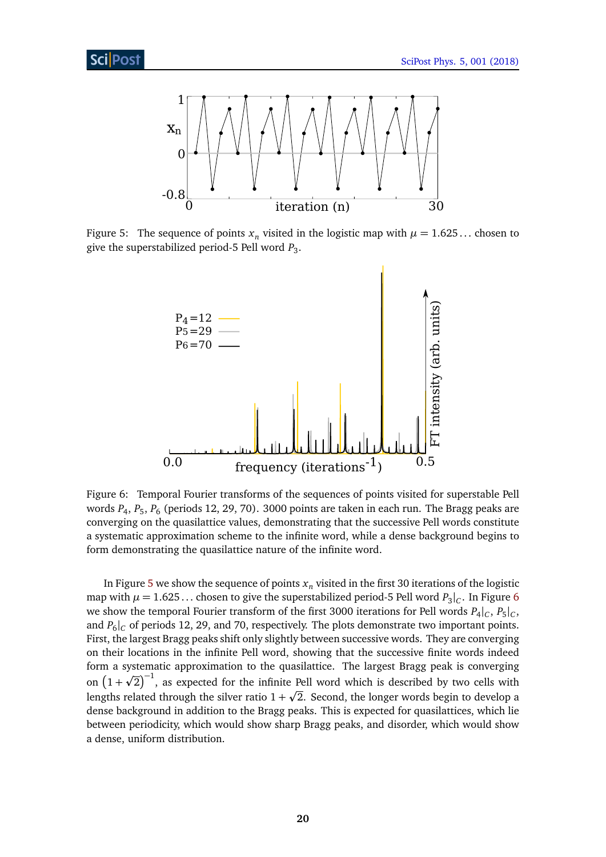

<span id="page-19-0"></span>Figure 5: The sequence of points  $x_n$  visited in the logistic map with  $\mu = 1.625...$  chosen to give the superstabilized period-5 Pell word *P*<sup>3</sup> .



<span id="page-19-1"></span>Figure 6: Temporal Fourier transforms of the sequences of points visited for superstable Pell words *P*<sup>4</sup> , *P*<sup>5</sup> , *P*<sup>6</sup> (periods 12, 29, 70). 3000 points are taken in each run. The Bragg peaks are converging on the quasilattice values, demonstrating that the successive Pell words constitute a systematic approximation scheme to the infinite word, while a dense background begins to form demonstrating the quasilattice nature of the infinite word.

In Figure [5](#page-19-0) we show the sequence of points  $x<sub>n</sub>$  visited in the first 30 iterations of the logistic map with  $\mu = 1.625...$  $\mu = 1.625...$  $\mu = 1.625...$  chosen to give the superstabilized period-5 Pell word  $P_3|_C$ . In Figure 6 we show the temporal Fourier transform of the first 3000 iterations for Pell words  $P_4|_C$ ,  $P_5|_C$ , and  $P_6|_C$  of periods 12, 29, and 70, respectively. The plots demonstrate two important points. First, the largest Bragg peaks shift only slightly between successive words. They are converging on their locations in the infinite Pell word, showing that the successive finite words indeed form a systematic approximation to the quasilattice. The largest Bragg peak is converging p on  $(1+\sqrt{2})^{-1}$ , as expected for the infinite Pell word which is described by two cells with lengths related through the silver ratio  $1+\surd 2.$  Second, the longer words begin to develop a dense background in addition to the Bragg peaks. This is expected for quasilattices, which lie between periodicity, which would show sharp Bragg peaks, and disorder, which would show a dense, uniform distribution.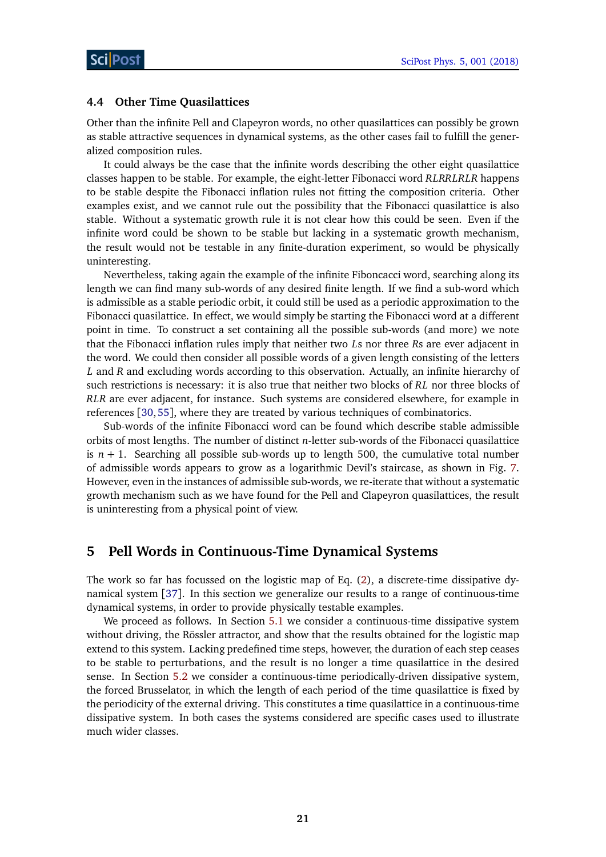### <span id="page-20-0"></span>**4.4 Other Time Quasilattices**

Other than the infinite Pell and Clapeyron words, no other quasilattices can possibly be grown as stable attractive sequences in dynamical systems, as the other cases fail to fulfill the generalized composition rules.

It could always be the case that the infinite words describing the other eight quasilattice classes happen to be stable. For example, the eight-letter Fibonacci word *RLRRLRLR* happens to be stable despite the Fibonacci inflation rules not fitting the composition criteria. Other examples exist, and we cannot rule out the possibility that the Fibonacci quasilattice is also stable. Without a systematic growth rule it is not clear how this could be seen. Even if the infinite word could be shown to be stable but lacking in a systematic growth mechanism, the result would not be testable in any finite-duration experiment, so would be physically uninteresting.

Nevertheless, taking again the example of the infinite Fiboncacci word, searching along its length we can find many sub-words of any desired finite length. If we find a sub-word which is admissible as a stable periodic orbit, it could still be used as a periodic approximation to the Fibonacci quasilattice. In effect, we would simply be starting the Fibonacci word at a different point in time. To construct a set containing all the possible sub-words (and more) we note that the Fibonacci inflation rules imply that neither two *L*s nor three *R*s are ever adjacent in the word. We could then consider all possible words of a given length consisting of the letters *L* and *R* and excluding words according to this observation. Actually, an infinite hierarchy of such restrictions is necessary: it is also true that neither two blocks of *RL* nor three blocks of *RLR* are ever adjacent, for instance. Such systems are considered elsewhere, for example in references [[30,](#page-31-15)[55](#page-33-5)], where they are treated by various techniques of combinatorics.

Sub-words of the infinite Fibonacci word can be found which describe stable admissible orbits of most lengths. The number of distinct *n*-letter sub-words of the Fibonacci quasilattice is  $n + 1$ . Searching all possible sub-words up to length 500, the cumulative total number of admissible words appears to grow as a logarithmic Devil's staircase, as shown in Fig. [7.](#page-21-1) However, even in the instances of admissible sub-words, we re-iterate that without a systematic growth mechanism such as we have found for the Pell and Clapeyron quasilattices, the result is uninteresting from a physical point of view.

### <span id="page-20-1"></span>**5 Pell Words in Continuous-Time Dynamical Systems**

The work so far has focussed on the logistic map of Eq. [\(2\)](#page-8-2), a discrete-time dissipative dynamical system [[37](#page-32-5)]. In this section we generalize our results to a range of continuous-time dynamical systems, in order to provide physically testable examples.

We proceed as follows. In Section [5.1](#page-21-0) we consider a continuous-time dissipative system without driving, the Rössler attractor, and show that the results obtained for the logistic map extend to this system. Lacking predefined time steps, however, the duration of each step ceases to be stable to perturbations, and the result is no longer a time quasilattice in the desired sense. In Section [5.2](#page-24-0) we consider a continuous-time periodically-driven dissipative system, the forced Brusselator, in which the length of each period of the time quasilattice is fixed by the periodicity of the external driving. This constitutes a time quasilattice in a continuous-time dissipative system. In both cases the systems considered are specific cases used to illustrate much wider classes.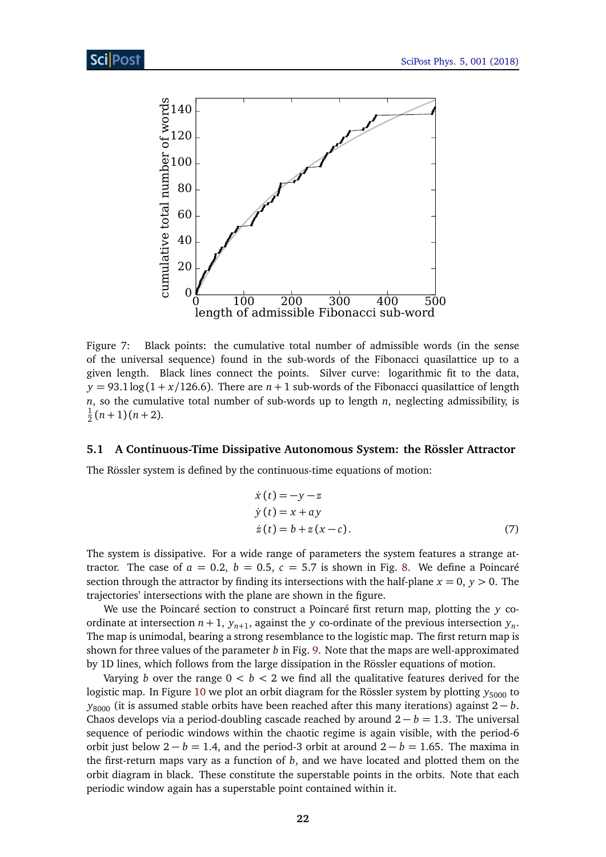

<span id="page-21-1"></span>Figure 7: Black points: the cumulative total number of admissible words (in the sense of the universal sequence) found in the sub-words of the Fibonacci quasilattice up to a given length. Black lines connect the points. Silver curve: logarithmic fit to the data,  $y = 93.1 \log(1 + x/126.6)$ . There are  $n + 1$  sub-words of the Fibonacci quasilattice of length *n*, so the cumulative total number of sub-words up to length *n*, neglecting admissibility, is 1  $\frac{1}{2}(n+1)(n+2)$ .

#### <span id="page-21-0"></span>**5.1 A Continuous-Time Dissipative Autonomous System: the Rössler Attractor**

The Rössler system is defined by the continuous-time equations of motion:

<span id="page-21-2"></span>
$$
\begin{aligned}\n\dot{x}(t) &= -y - z \\
\dot{y}(t) &= x + ay \\
\dot{z}(t) &= b + z(x - c).\n\end{aligned} \tag{7}
$$

The system is dissipative. For a wide range of parameters the system features a strange attractor. The case of  $a = 0.2$ ,  $b = 0.5$ ,  $c = 5.7$  is shown in Fig. [8.](#page-22-0) We define a Poincaré section through the attractor by finding its intersections with the half-plane  $x = 0$ ,  $y > 0$ . The trajectories' intersections with the plane are shown in the figure.

We use the Poincaré section to construct a Poincaré first return map, plotting the *y* coordinate at intersection  $n+1$ ,  $y_{n+1}$ , against the *y* co-ordinate of the previous intersection  $y_n$ . The map is unimodal, bearing a strong resemblance to the logistic map. The first return map is shown for three values of the parameter *b* in Fig. [9.](#page-22-1) Note that the maps are well-approximated by 1D lines, which follows from the large dissipation in the Rössler equations of motion.

Varying *b* over the range  $0 < b < 2$  we find all the qualitative features derived for the logistic map. In Figure [10](#page-23-0) we plot an orbit diagram for the Rössler system by plotting  $y_{5000}$  to *y*<sub>8000</sub> (it is assumed stable orbits have been reached after this many iterations) against 2 − *b*. Chaos develops via a period-doubling cascade reached by around  $2 - b = 1.3$ . The universal sequence of periodic windows within the chaotic regime is again visible, with the period-6 orbit just below  $2 - b = 1.4$ , and the period-3 orbit at around  $2 - b = 1.65$ . The maxima in the first-return maps vary as a function of *b*, and we have located and plotted them on the orbit diagram in black. These constitute the superstable points in the orbits. Note that each periodic window again has a superstable point contained within it.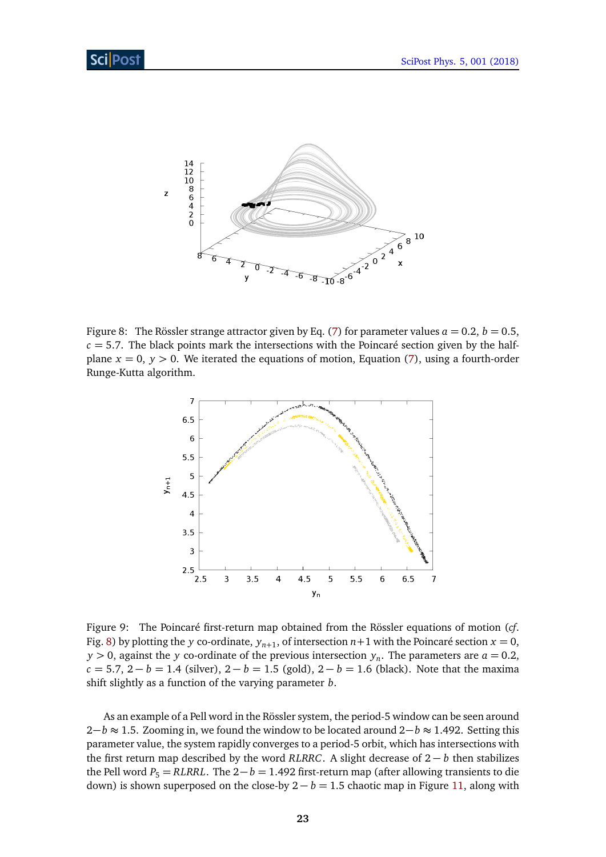

<span id="page-22-0"></span>Figure 8: The Rössler strange attractor given by Eq. [\(7\)](#page-21-2) for parameter values  $a = 0.2$ ,  $b = 0.5$ ,  $c = 5.7$ . The black points mark the intersections with the Poincaré section given by the halfplane  $x = 0$ ,  $y > 0$ . We iterated the equations of motion, Equation [\(7\)](#page-21-2), using a fourth-order Runge-Kutta algorithm.



<span id="page-22-1"></span>Figure 9: The Poincaré first-return map obtained from the Rössler equations of motion (*cf*. Fig. [8\)](#page-22-0) by plotting the *y* co-ordinate,  $y_{n+1}$ , of intersection  $n+1$  with the Poincaré section  $x=0$ , *y*  $>$  0, against the *y* co-ordinate of the previous intersection  $y_n$ . The parameters are *a* = 0.2,  $c = 5.7, 2 - b = 1.4$  (silver),  $2 - b = 1.5$  (gold),  $2 - b = 1.6$  (black). Note that the maxima shift slightly as a function of the varying parameter *b*.

As an example of a Pell word in the Rössler system, the period-5 window can be seen around 2−*b* ≈ 1.5. Zooming in, we found the window to be located around 2−*b* ≈ 1.492. Setting this parameter value, the system rapidly converges to a period-5 orbit, which has intersections with the first return map described by the word *RLRRC*. A slight decrease of 2 − *b* then stabilizes the Pell word  $P_5 = RLRRL$ . The  $2 - b = 1.492$  first-return map (after allowing transients to die down) is shown superposed on the close-by  $2 - b = 1.5$  chaotic map in Figure [11,](#page-23-1) along with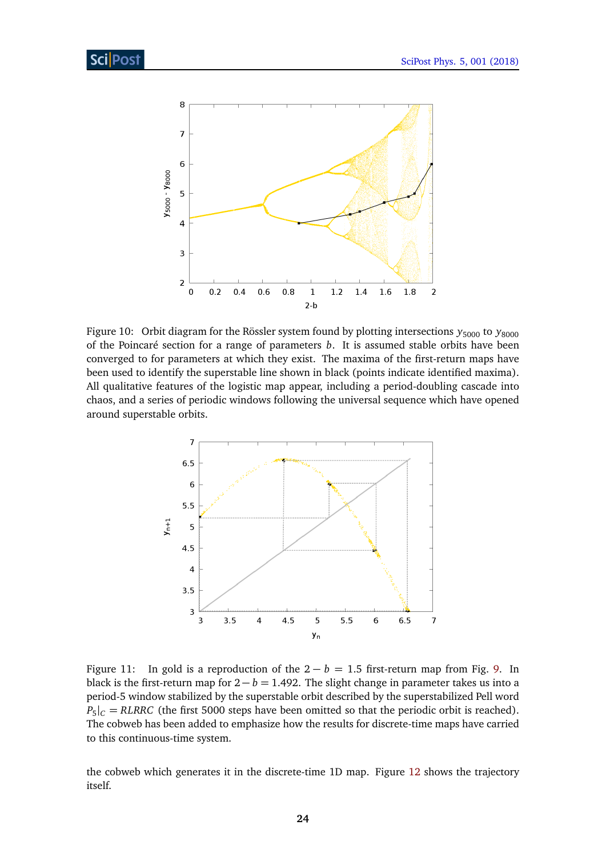

<span id="page-23-0"></span>Figure 10: Orbit diagram for the Rössler system found by plotting intersections  $y_{5000}$  to  $y_{8000}$ of the Poincaré section for a range of parameters *b*. It is assumed stable orbits have been converged to for parameters at which they exist. The maxima of the first-return maps have been used to identify the superstable line shown in black (points indicate identified maxima). All qualitative features of the logistic map appear, including a period-doubling cascade into chaos, and a series of periodic windows following the universal sequence which have opened around superstable orbits.



<span id="page-23-1"></span>Figure 11: In gold is a reproduction of the  $2 - b = 1.5$  first-return map from Fig. [9.](#page-22-1) In black is the first-return map for  $2 - b = 1.492$ . The slight change in parameter takes us into a period-5 window stabilized by the superstable orbit described by the superstabilized Pell word  $P_5|_C = RLRRC$  (the first 5000 steps have been omitted so that the periodic orbit is reached). The cobweb has been added to emphasize how the results for discrete-time maps have carried to this continuous-time system.

the cobweb which generates it in the discrete-time 1D map. Figure [12](#page-24-1) shows the trajectory itself.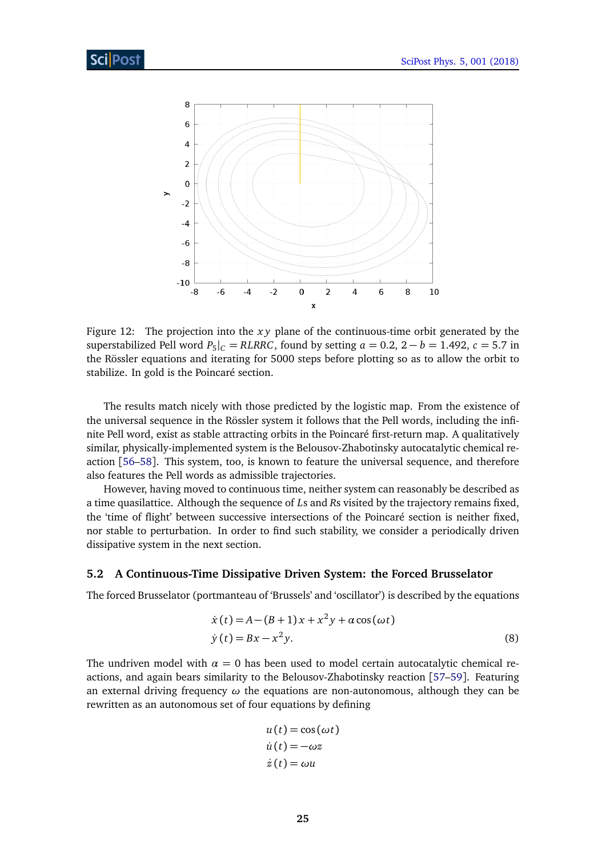

<span id="page-24-1"></span>Figure 12: The projection into the *x y* plane of the continuous-time orbit generated by the superstabilized Pell word  $P_5|_C = RLRRC$ , found by setting  $a = 0.2$ ,  $2 - b = 1.492$ ,  $c = 5.7$  in the Rössler equations and iterating for 5000 steps before plotting so as to allow the orbit to stabilize. In gold is the Poincaré section.

The results match nicely with those predicted by the logistic map. From the existence of the universal sequence in the Rössler system it follows that the Pell words, including the infinite Pell word, exist as stable attracting orbits in the Poincaré first-return map. A qualitatively similar, physically-implemented system is the Belousov-Zhabotinsky autocatalytic chemical reaction [[56–](#page-33-6)[58](#page-33-7)]. This system, too, is known to feature the universal sequence, and therefore also features the Pell words as admissible trajectories.

However, having moved to continuous time, neither system can reasonably be described as a time quasilattice. Although the sequence of *L*s and *R*s visited by the trajectory remains fixed, the 'time of flight' between successive intersections of the Poincaré section is neither fixed, nor stable to perturbation. In order to find such stability, we consider a periodically driven dissipative system in the next section.

### <span id="page-24-0"></span>**5.2 A Continuous-Time Dissipative Driven System: the Forced Brusselator**

The forced Brusselator (portmanteau of 'Brussels' and 'oscillator') is described by the equations

$$
\dot{x}(t) = A - (B + 1)x + x^2y + a\cos(\omega t)
$$
  
\n
$$
\dot{y}(t) = Bx - x^2y.
$$
\n(8)

The undriven model with  $\alpha = 0$  has been used to model certain autocatalytic chemical reactions, and again bears similarity to the Belousov-Zhabotinsky reaction [[57](#page-33-8)[–59](#page-33-9)]. Featuring an external driving frequency *ω* the equations are non-autonomous, although they can be rewritten as an autonomous set of four equations by defining

<span id="page-24-2"></span>
$$
u(t) = \cos(\omega t)
$$
  
\n
$$
\dot{u}(t) = -\omega z
$$
  
\n
$$
\dot{z}(t) = \omega u
$$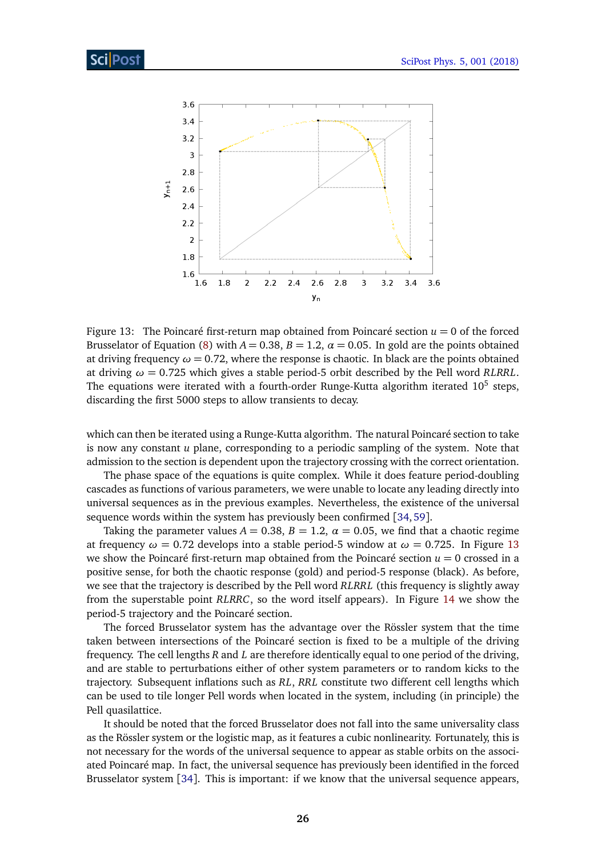

<span id="page-25-0"></span>Figure 13: The Poincaré first-return map obtained from Poincaré section  $u = 0$  of the forced Brusselator of Equation [\(8\)](#page-24-2) with  $A = 0.38$ ,  $B = 1.2$ ,  $\alpha = 0.05$ . In gold are the points obtained at driving frequency  $\omega = 0.72$ , where the response is chaotic. In black are the points obtained at driving  $\omega = 0.725$  which gives a stable period-5 orbit described by the Pell word *RLRRL*. The equations were iterated with a fourth-order Runge-Kutta algorithm iterated  $10^5$  steps, discarding the first 5000 steps to allow transients to decay.

which can then be iterated using a Runge-Kutta algorithm. The natural Poincaré section to take is now any constant *u* plane, corresponding to a periodic sampling of the system. Note that admission to the section is dependent upon the trajectory crossing with the correct orientation.

The phase space of the equations is quite complex. While it does feature period-doubling cascades as functions of various parameters, we were unable to locate any leading directly into universal sequences as in the previous examples. Nevertheless, the existence of the universal sequence words within the system has previously been confirmed [[34,](#page-32-3)[59](#page-33-9)].

Taking the parameter values  $A = 0.38$ ,  $B = 1.2$ ,  $\alpha = 0.05$ , we find that a chaotic regime at frequency  $\omega = 0.72$  develops into a stable period-5 window at  $\omega = 0.725$ . In Figure [13](#page-25-0) we show the Poincaré first-return map obtained from the Poincaré section  $u = 0$  crossed in a positive sense, for both the chaotic response (gold) and period-5 response (black). As before, we see that the trajectory is described by the Pell word *RLRRL* (this frequency is slightly away from the superstable point *RLRRC*, so the word itself appears). In Figure [14](#page-26-1) we show the period-5 trajectory and the Poincaré section.

The forced Brusselator system has the advantage over the Rössler system that the time taken between intersections of the Poincaré section is fixed to be a multiple of the driving frequency. The cell lengths *R* and *L* are therefore identically equal to one period of the driving, and are stable to perturbations either of other system parameters or to random kicks to the trajectory. Subsequent inflations such as *RL*, *RRL* constitute two different cell lengths which can be used to tile longer Pell words when located in the system, including (in principle) the Pell quasilattice.

It should be noted that the forced Brusselator does not fall into the same universality class as the Rössler system or the logistic map, as it features a cubic nonlinearity. Fortunately, this is not necessary for the words of the universal sequence to appear as stable orbits on the associated Poincaré map. In fact, the universal sequence has previously been identified in the forced Brusselator system [[34](#page-32-3)]. This is important: if we know that the universal sequence appears,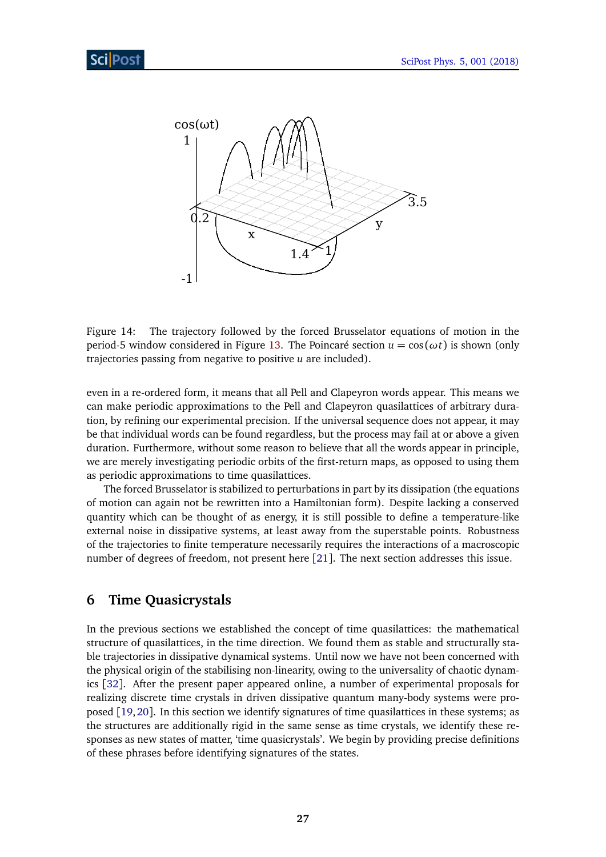

<span id="page-26-1"></span>Figure 14: The trajectory followed by the forced Brusselator equations of motion in the period-5 window considered in Figure [13.](#page-25-0) The Poincaré section  $u = cos(\omega t)$  is shown (only trajectories passing from negative to positive *u* are included).

even in a re-ordered form, it means that all Pell and Clapeyron words appear. This means we can make periodic approximations to the Pell and Clapeyron quasilattices of arbitrary duration, by refining our experimental precision. If the universal sequence does not appear, it may be that individual words can be found regardless, but the process may fail at or above a given duration. Furthermore, without some reason to believe that all the words appear in principle, we are merely investigating periodic orbits of the first-return maps, as opposed to using them as periodic approximations to time quasilattices.

The forced Brusselator is stabilized to perturbations in part by its dissipation (the equations of motion can again not be rewritten into a Hamiltonian form). Despite lacking a conserved quantity which can be thought of as energy, it is still possible to define a temperature-like external noise in dissipative systems, at least away from the superstable points. Robustness of the trajectories to finite temperature necessarily requires the interactions of a macroscopic number of degrees of freedom, not present here [[21](#page-31-5)]. The next section addresses this issue.

### <span id="page-26-0"></span>**6 Time Quasicrystals**

In the previous sections we established the concept of time quasilattices: the mathematical structure of quasilattices, in the time direction. We found them as stable and structurally stable trajectories in dissipative dynamical systems. Until now we have not been concerned with the physical origin of the stabilising non-linearity, owing to the universality of chaotic dynamics [[32](#page-32-0)]. After the present paper appeared online, a number of experimental proposals for realizing discrete time crystals in driven dissipative quantum many-body systems were proposed [[19,](#page-31-4)[20](#page-31-17)]. In this section we identify signatures of time quasilattices in these systems; as the structures are additionally rigid in the same sense as time crystals, we identify these responses as new states of matter, 'time quasicrystals'. We begin by providing precise definitions of these phrases before identifying signatures of the states.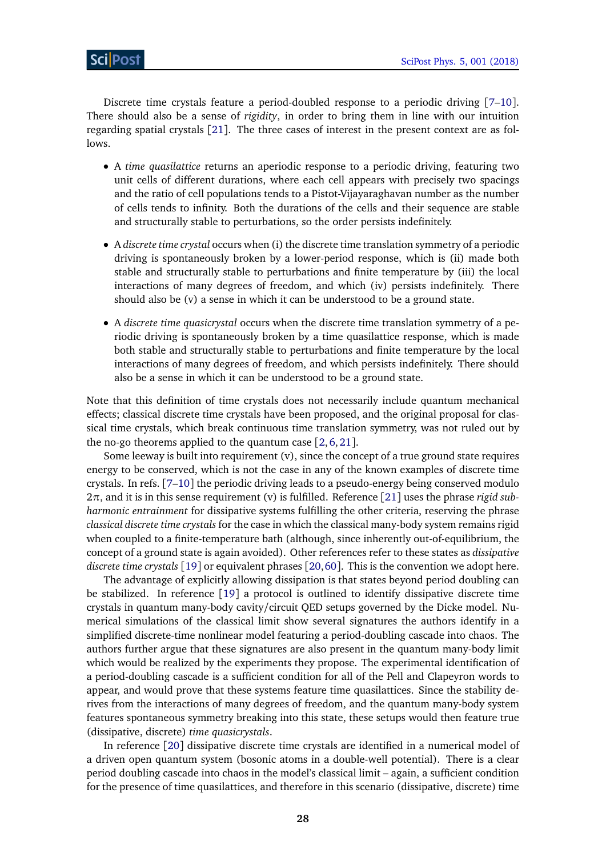Discrete time crystals feature a period-doubled response to a periodic driving [[7](#page-30-5)[–10](#page-30-6)]. There should also be a sense of *rigidity*, in order to bring them in line with our intuition regarding spatial crystals [[21](#page-31-5)]. The three cases of interest in the present context are as follows.

- A *time quasilattice* returns an aperiodic response to a periodic driving, featuring two unit cells of different durations, where each cell appears with precisely two spacings and the ratio of cell populations tends to a Pistot-Vijayaraghavan number as the number of cells tends to infinity. Both the durations of the cells and their sequence are stable and structurally stable to perturbations, so the order persists indefinitely.
- A *discrete time crystal* occurs when (i) the discrete time translation symmetry of a periodic driving is spontaneously broken by a lower-period response, which is (ii) made both stable and structurally stable to perturbations and finite temperature by (iii) the local interactions of many degrees of freedom, and which (iv) persists indefinitely. There should also be (v) a sense in which it can be understood to be a ground state.
- A *discrete time quasicrystal* occurs when the discrete time translation symmetry of a periodic driving is spontaneously broken by a time quasilattice response, which is made both stable and structurally stable to perturbations and finite temperature by the local interactions of many degrees of freedom, and which persists indefinitely. There should also be a sense in which it can be understood to be a ground state.

Note that this definition of time crystals does not necessarily include quantum mechanical effects; classical discrete time crystals have been proposed, and the original proposal for classical time crystals, which break continuous time translation symmetry, was not ruled out by the no-go theorems applied to the quantum case  $[2,6,21]$  $[2,6,21]$  $[2,6,21]$  $[2,6,21]$  $[2,6,21]$ .

Some leeway is built into requirement (v), since the concept of a true ground state requires energy to be conserved, which is not the case in any of the known examples of discrete time crystals. In refs. [[7–](#page-30-5)[10](#page-30-6)] the periodic driving leads to a pseudo-energy being conserved modulo 2*π*, and it is in this sense requirement (v) is fulfilled. Reference [[21](#page-31-5)] uses the phrase *rigid subharmonic entrainment* for dissipative systems fulfilling the other criteria, reserving the phrase *classical discrete time crystals* for the case in which the classical many-body system remains rigid when coupled to a finite-temperature bath (although, since inherently out-of-equilibrium, the concept of a ground state is again avoided). Other references refer to these states as *dissipative discrete time crystals* [[19](#page-31-4)] or equivalent phrases [[20,](#page-31-17)[60](#page-33-10)]. This is the convention we adopt here.

The advantage of explicitly allowing dissipation is that states beyond period doubling can be stabilized. In reference [[19](#page-31-4)] a protocol is outlined to identify dissipative discrete time crystals in quantum many-body cavity/circuit QED setups governed by the Dicke model. Numerical simulations of the classical limit show several signatures the authors identify in a simplified discrete-time nonlinear model featuring a period-doubling cascade into chaos. The authors further argue that these signatures are also present in the quantum many-body limit which would be realized by the experiments they propose. The experimental identification of a period-doubling cascade is a sufficient condition for all of the Pell and Clapeyron words to appear, and would prove that these systems feature time quasilattices. Since the stability derives from the interactions of many degrees of freedom, and the quantum many-body system features spontaneous symmetry breaking into this state, these setups would then feature true (dissipative, discrete) *time quasicrystals*.

In reference [[20](#page-31-17)] dissipative discrete time crystals are identified in a numerical model of a driven open quantum system (bosonic atoms in a double-well potential). There is a clear period doubling cascade into chaos in the model's classical limit – again, a sufficient condition for the presence of time quasilattices, and therefore in this scenario (dissipative, discrete) time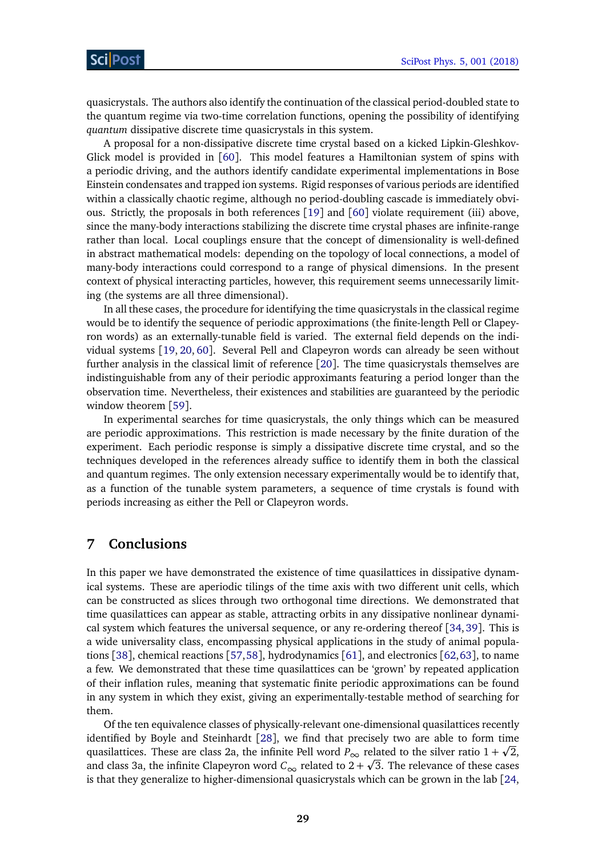quasicrystals. The authors also identify the continuation of the classical period-doubled state to the quantum regime via two-time correlation functions, opening the possibility of identifying *quantum* dissipative discrete time quasicrystals in this system.

A proposal for a non-dissipative discrete time crystal based on a kicked Lipkin-Gleshkov-Glick model is provided in [[60](#page-33-10)]. This model features a Hamiltonian system of spins with a periodic driving, and the authors identify candidate experimental implementations in Bose Einstein condensates and trapped ion systems. Rigid responses of various periods are identified within a classically chaotic regime, although no period-doubling cascade is immediately obvious. Strictly, the proposals in both references [[19](#page-31-4)] and [[60](#page-33-10)] violate requirement (iii) above, since the many-body interactions stabilizing the discrete time crystal phases are infinite-range rather than local. Local couplings ensure that the concept of dimensionality is well-defined in abstract mathematical models: depending on the topology of local connections, a model of many-body interactions could correspond to a range of physical dimensions. In the present context of physical interacting particles, however, this requirement seems unnecessarily limiting (the systems are all three dimensional).

In all these cases, the procedure for identifying the time quasicrystals in the classical regime would be to identify the sequence of periodic approximations (the finite-length Pell or Clapeyron words) as an externally-tunable field is varied. The external field depends on the individual systems [[19,](#page-31-4) [20,](#page-31-17) [60](#page-33-10)]. Several Pell and Clapeyron words can already be seen without further analysis in the classical limit of reference [[20](#page-31-17)]. The time quasicrystals themselves are indistinguishable from any of their periodic approximants featuring a period longer than the observation time. Nevertheless, their existences and stabilities are guaranteed by the periodic window theorem [[59](#page-33-9)].

In experimental searches for time quasicrystals, the only things which can be measured are periodic approximations. This restriction is made necessary by the finite duration of the experiment. Each periodic response is simply a dissipative discrete time crystal, and so the techniques developed in the references already suffice to identify them in both the classical and quantum regimes. The only extension necessary experimentally would be to identify that, as a function of the tunable system parameters, a sequence of time crystals is found with periods increasing as either the Pell or Clapeyron words.

## <span id="page-28-0"></span>**7 Conclusions**

In this paper we have demonstrated the existence of time quasilattices in dissipative dynamical systems. These are aperiodic tilings of the time axis with two different unit cells, which can be constructed as slices through two orthogonal time directions. We demonstrated that time quasilattices can appear as stable, attracting orbits in any dissipative nonlinear dynamical system which features the universal sequence, or any re-ordering thereof [[34,](#page-32-3)[39](#page-32-8)]. This is a wide universality class, encompassing physical applications in the study of animal populations [[38](#page-32-6)], chemical reactions [[57,](#page-33-8)[58](#page-33-7)], hydrodynamics [[61](#page-33-11)], and electronics [[62,](#page-33-12)[63](#page-33-13)], to name a few. We demonstrated that these time quasilattices can be 'grown' by repeated application of their inflation rules, meaning that systematic finite periodic approximations can be found in any system in which they exist, giving an experimentally-testable method of searching for them.

Of the ten equivalence classes of physically-relevant one-dimensional quasilattices recently identified by Boyle and Steinhardt [[28](#page-31-13)], we find that precisely two are able to form time p quasilattices. These are class 2a, the infinite Pell word  $P_{\infty}$  related to the silver ratio  $1 + \sqrt{2}$ , and class 3a, the infinite Clapeyron word  $C_{\infty}$  related to 2 +  $\sqrt{3}$ . The relevance of these cases is that they generalize to higher-dimensional quasicrystals which can be grown in the lab [[24,](#page-31-16)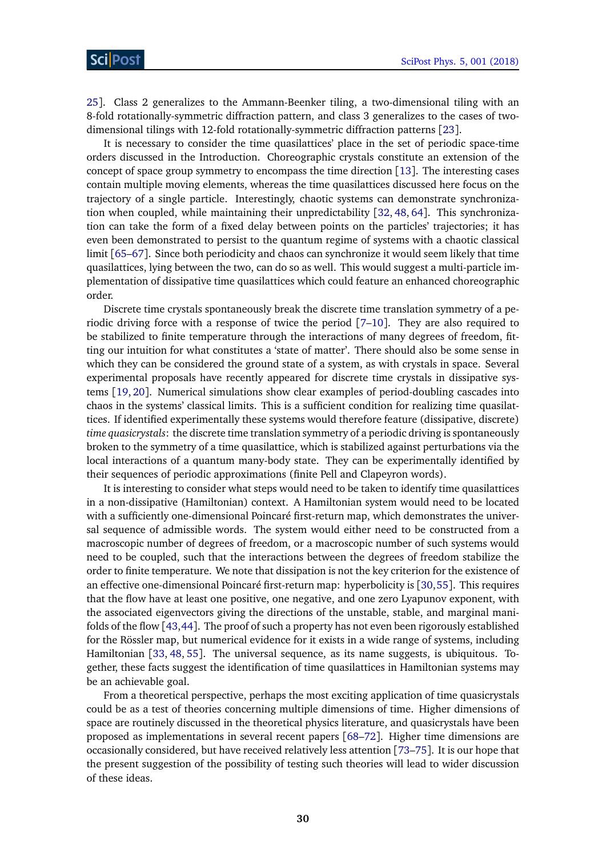[25](#page-31-9)]. Class 2 generalizes to the Ammann-Beenker tiling, a two-dimensional tiling with an 8-fold rotationally-symmetric diffraction pattern, and class 3 generalizes to the cases of twodimensional tilings with 12-fold rotationally-symmetric diffraction patterns [[23](#page-31-8)].

It is necessary to consider the time quasilattices' place in the set of periodic space-time orders discussed in the Introduction. Choreographic crystals constitute an extension of the concept of space group symmetry to encompass the time direction [[13](#page-31-0)]. The interesting cases contain multiple moving elements, whereas the time quasilattices discussed here focus on the trajectory of a single particle. Interestingly, chaotic systems can demonstrate synchronization when coupled, while maintaining their unpredictability [[32,](#page-32-0) [48,](#page-32-15) [64](#page-33-14)]. This synchronization can take the form of a fixed delay between points on the particles' trajectories; it has even been demonstrated to persist to the quantum regime of systems with a chaotic classical limit [[65–](#page-33-15)[67](#page-34-0)]. Since both periodicity and chaos can synchronize it would seem likely that time quasilattices, lying between the two, can do so as well. This would suggest a multi-particle implementation of dissipative time quasilattices which could feature an enhanced choreographic order.

Discrete time crystals spontaneously break the discrete time translation symmetry of a periodic driving force with a response of twice the period [[7](#page-30-5)[–10](#page-30-6)]. They are also required to be stabilized to finite temperature through the interactions of many degrees of freedom, fitting our intuition for what constitutes a 'state of matter'. There should also be some sense in which they can be considered the ground state of a system, as with crystals in space. Several experimental proposals have recently appeared for discrete time crystals in dissipative systems [[19,](#page-31-4) [20](#page-31-17)]. Numerical simulations show clear examples of period-doubling cascades into chaos in the systems' classical limits. This is a sufficient condition for realizing time quasilattices. If identified experimentally these systems would therefore feature (dissipative, discrete) *time quasicrystals*: the discrete time translation symmetry of a periodic driving is spontaneously broken to the symmetry of a time quasilattice, which is stabilized against perturbations via the local interactions of a quantum many-body state. They can be experimentally identified by their sequences of periodic approximations (finite Pell and Clapeyron words).

It is interesting to consider what steps would need to be taken to identify time quasilattices in a non-dissipative (Hamiltonian) context. A Hamiltonian system would need to be located with a sufficiently one-dimensional Poincaré first-return map, which demonstrates the universal sequence of admissible words. The system would either need to be constructed from a macroscopic number of degrees of freedom, or a macroscopic number of such systems would need to be coupled, such that the interactions between the degrees of freedom stabilize the order to finite temperature. We note that dissipation is not the key criterion for the existence of an effective one-dimensional Poincaré first-return map: hyperbolicity is [[30,](#page-31-15)[55](#page-33-5)]. This requires that the flow have at least one positive, one negative, and one zero Lyapunov exponent, with the associated eigenvectors giving the directions of the unstable, stable, and marginal manifolds of the flow [[43,](#page-32-12)[44](#page-32-13)]. The proof of such a property has not even been rigorously established for the Rössler map, but numerical evidence for it exists in a wide range of systems, including Hamiltonian [[33,](#page-32-1) [48,](#page-32-15) [55](#page-33-5)]. The universal sequence, as its name suggests, is ubiquitous. Together, these facts suggest the identification of time quasilattices in Hamiltonian systems may be an achievable goal.

From a theoretical perspective, perhaps the most exciting application of time quasicrystals could be as a test of theories concerning multiple dimensions of time. Higher dimensions of space are routinely discussed in the theoretical physics literature, and quasicrystals have been proposed as implementations in several recent papers [[68–](#page-34-1)[72](#page-34-2)]. Higher time dimensions are occasionally considered, but have received relatively less attention [[73–](#page-34-3)[75](#page-34-4)]. It is our hope that the present suggestion of the possibility of testing such theories will lead to wider discussion of these ideas.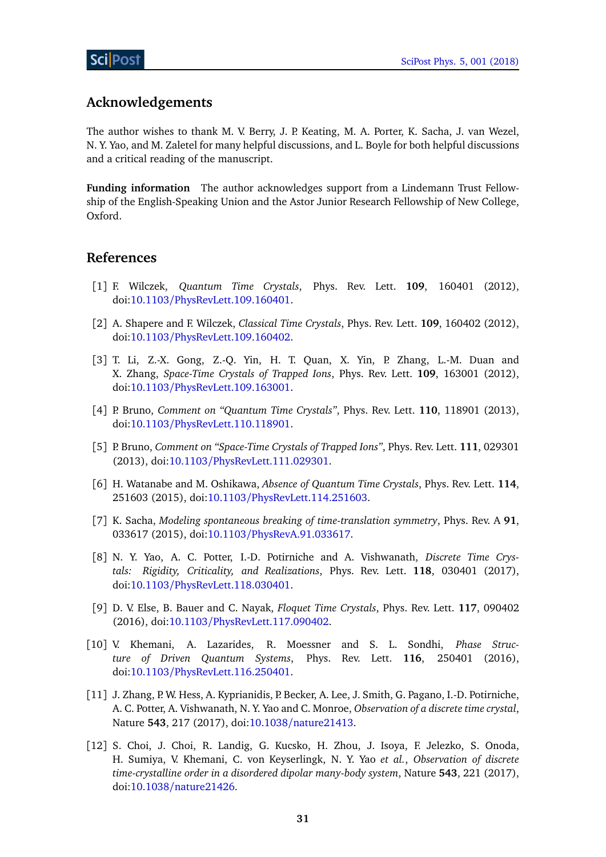## **Acknowledgements**

The author wishes to thank M. V. Berry, J. P. Keating, M. A. Porter, K. Sacha, J. van Wezel, N. Y. Yao, and M. Zaletel for many helpful discussions, and L. Boyle for both helpful discussions and a critical reading of the manuscript.

<span id="page-30-0"></span>**Funding information** The author acknowledges support from a Lindemann Trust Fellowship of the English-Speaking Union and the Astor Junior Research Fellowship of New College, Oxford.

## **References**

- <span id="page-30-1"></span>[1] F. Wilczek, *Quantum Time Crystals*, Phys. Rev. Lett. **109**, 160401 (2012), doi:10.1103/[PhysRevLett.109.160401.](http://dx.doi.org/10.1103/PhysRevLett.109.160401)
- <span id="page-30-9"></span>[2] A. Shapere and F. Wilczek, *Classical Time Crystals*, Phys. Rev. Lett. **109**, 160402 (2012), doi:10.1103/[PhysRevLett.109.160402.](http://dx.doi.org/10.1103/PhysRevLett.109.160402)
- <span id="page-30-2"></span>[3] T. Li, Z.-X. Gong, Z.-Q. Yin, H. T. Quan, X. Yin, P. Zhang, L.-M. Duan and X. Zhang, *Space-Time Crystals of Trapped Ions*, Phys. Rev. Lett. **109**, 163001 (2012), doi:10.1103/[PhysRevLett.109.163001.](http://dx.doi.org/10.1103/PhysRevLett.109.163001)
- <span id="page-30-3"></span>[4] P. Bruno, *Comment on "Quantum Time Crystals"*, Phys. Rev. Lett. **110**, 118901 (2013), doi:10.1103/[PhysRevLett.110.118901.](http://dx.doi.org/10.1103/PhysRevLett.110.118901)
- [5] P. Bruno, *Comment on "Space-Time Crystals of Trapped Ions"*, Phys. Rev. Lett. **111**, 029301 (2013), doi:10.1103/[PhysRevLett.111.029301.](http://dx.doi.org/10.1103/PhysRevLett.111.029301)
- <span id="page-30-4"></span>[6] H. Watanabe and M. Oshikawa, *Absence of Quantum Time Crystals*, Phys. Rev. Lett. **114**, 251603 (2015), doi:10.1103/[PhysRevLett.114.251603.](http://dx.doi.org/10.1103/PhysRevLett.114.251603)
- <span id="page-30-5"></span>[7] K. Sacha, *Modeling spontaneous breaking of time-translation symmetry*, Phys. Rev. A **91**, 033617 (2015), doi:10.1103/[PhysRevA.91.033617.](http://dx.doi.org/10.1103/PhysRevA.91.033617)
- [8] N. Y. Yao, A. C. Potter, I.-D. Potirniche and A. Vishwanath, *Discrete Time Crystals: Rigidity, Criticality, and Realizations*, Phys. Rev. Lett. **118**, 030401 (2017), doi:10.1103/[PhysRevLett.118.030401.](http://dx.doi.org/10.1103/PhysRevLett.118.030401)
- [9] D. V. Else, B. Bauer and C. Nayak, *Floquet Time Crystals*, Phys. Rev. Lett. **117**, 090402 (2016), doi:10.1103/[PhysRevLett.117.090402.](http://dx.doi.org/10.1103/PhysRevLett.117.090402)
- <span id="page-30-6"></span>[10] V. Khemani, A. Lazarides, R. Moessner and S. L. Sondhi, *Phase Structure of Driven Quantum Systems*, Phys. Rev. Lett. **116**, 250401 (2016), doi:10.1103/[PhysRevLett.116.250401.](http://dx.doi.org/10.1103/PhysRevLett.116.250401)
- <span id="page-30-7"></span>[11] J. Zhang, P. W. Hess, A. Kyprianidis, P. Becker, A. Lee, J. Smith, G. Pagano, I.-D. Potirniche, A. C. Potter, A. Vishwanath, N. Y. Yao and C. Monroe, *Observation of a discrete time crystal*, Nature **543**, 217 (2017), doi:10.1038/[nature21413.](http://dx.doi.org/10.1038/nature21413)
- <span id="page-30-8"></span>[12] S. Choi, J. Choi, R. Landig, G. Kucsko, H. Zhou, J. Isoya, F. Jelezko, S. Onoda, H. Sumiya, V. Khemani, C. von Keyserlingk, N. Y. Yao *et al.*, *Observation of discrete time-crystalline order in a disordered dipolar many-body system*, Nature **543**, 221 (2017), doi:10.1038/[nature21426.](http://dx.doi.org/10.1038/nature21426)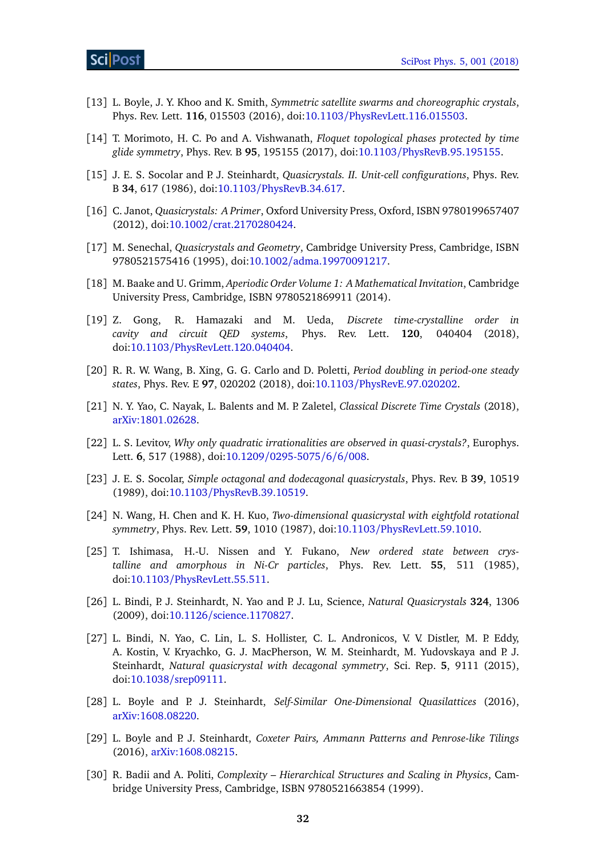- <span id="page-31-0"></span>[13] L. Boyle, J. Y. Khoo and K. Smith, *Symmetric satellite swarms and choreographic crystals*, Phys. Rev. Lett. **116**, 015503 (2016), doi:10.1103/[PhysRevLett.116.015503.](http://dx.doi.org/10.1103/PhysRevLett.116.015503)
- <span id="page-31-1"></span>[14] T. Morimoto, H. C. Po and A. Vishwanath, *Floquet topological phases protected by time glide symmetry*, Phys. Rev. B **95**, 195155 (2017), doi:10.1103/[PhysRevB.95.195155.](http://dx.doi.org/10.1103/PhysRevB.95.195155)
- <span id="page-31-2"></span>[15] J. E. S. Socolar and P. J. Steinhardt, *Quasicrystals. II. Unit-cell configurations*, Phys. Rev. B **34**, 617 (1986), doi:10.1103/[PhysRevB.34.617.](http://dx.doi.org/10.1103/PhysRevB.34.617)
- <span id="page-31-10"></span>[16] C. Janot, *Quasicrystals: A Primer*, Oxford University Press, Oxford, ISBN 9780199657407 (2012), doi:10.1002/[crat.2170280424.](http://dx.doi.org/10.1002/crat.2170280424)
- <span id="page-31-6"></span>[17] M. Senechal, *Quasicrystals and Geometry*, Cambridge University Press, Cambridge, ISBN 9780521575416 (1995), doi:10.1002/[adma.19970091217.](http://dx.doi.org/10.1002/adma.19970091217)
- <span id="page-31-3"></span>[18] M. Baake and U. Grimm, *Aperiodic Order Volume 1: A Mathematical Invitation*, Cambridge University Press, Cambridge, ISBN 9780521869911 (2014).
- <span id="page-31-4"></span>[19] Z. Gong, R. Hamazaki and M. Ueda, *Discrete time-crystalline order in cavity and circuit QED systems*, Phys. Rev. Lett. **120**, 040404 (2018), doi:10.1103/[PhysRevLett.120.040404.](http://dx.doi.org/10.1103/PhysRevLett.120.040404)
- <span id="page-31-17"></span>[20] R. R. W. Wang, B. Xing, G. G. Carlo and D. Poletti, *Period doubling in period-one steady states*, Phys. Rev. E **97**, 020202 (2018), doi:10.1103/[PhysRevE.97.020202.](http://dx.doi.org/10.1103/PhysRevE.97.020202)
- <span id="page-31-5"></span>[21] N. Y. Yao, C. Nayak, L. Balents and M. P. Zaletel, *Classical Discrete Time Crystals* (2018), [arXiv:1801.02628.](https://arxiv.org/abs/1801.02628)
- <span id="page-31-7"></span>[22] L. S. Levitov, *Why only quadratic irrationalities are observed in quasi-crystals?*, Europhys. Lett. **6**, 517 (1988), doi:10.1209/[0295-5075](http://dx.doi.org/10.1209/0295-5075/6/6/008)/6/6/008.
- <span id="page-31-8"></span>[23] J. E. S. Socolar, *Simple octagonal and dodecagonal quasicrystals*, Phys. Rev. B **39**, 10519 (1989), doi:10.1103/[PhysRevB.39.10519.](http://dx.doi.org/10.1103/PhysRevB.39.10519)
- <span id="page-31-16"></span>[24] N. Wang, H. Chen and K. H. Kuo, *Two-dimensional quasicrystal with eightfold rotational symmetry*, Phys. Rev. Lett. **59**, 1010 (1987), doi:10.1103/[PhysRevLett.59.1010.](http://dx.doi.org/10.1103/PhysRevLett.59.1010)
- <span id="page-31-9"></span>[25] T. Ishimasa, H.-U. Nissen and Y. Fukano, *New ordered state between crystalline and amorphous in Ni-Cr particles*, Phys. Rev. Lett. **55**, 511 (1985), doi:10.1103/[PhysRevLett.55.511.](http://dx.doi.org/10.1103/PhysRevLett.55.511)
- <span id="page-31-11"></span>[26] L. Bindi, P. J. Steinhardt, N. Yao and P. J. Lu, Science, *Natural Quasicrystals* **324**, 1306 (2009), doi:10.1126/[science.1170827.](http://dx.doi.org/10.1126/science.1170827)
- <span id="page-31-12"></span>[27] L. Bindi, N. Yao, C. Lin, L. S. Hollister, C. L. Andronicos, V. V. Distler, M. P. Eddy, A. Kostin, V. Kryachko, G. J. MacPherson, W. M. Steinhardt, M. Yudovskaya and P. J. Steinhardt, *Natural quasicrystal with decagonal symmetry*, Sci. Rep. **5**, 9111 (2015), doi:10.1038/[srep09111.](http://dx.doi.org/10.1038/srep09111)
- <span id="page-31-13"></span>[28] L. Boyle and P. J. Steinhardt, *Self-Similar One-Dimensional Quasilattices* (2016), [arXiv:1608.08220.](https://arxiv.org/abs/1608.08220)
- <span id="page-31-14"></span>[29] L. Boyle and P. J. Steinhardt, *Coxeter Pairs, Ammann Patterns and Penrose-like Tilings* (2016), [arXiv:1608.08215.](https://arxiv.org/abs/1608.08215)
- <span id="page-31-15"></span>[30] R. Badii and A. Politi, *Complexity – Hierarchical Structures and Scaling in Physics*, Cambridge University Press, Cambridge, ISBN 9780521663854 (1999).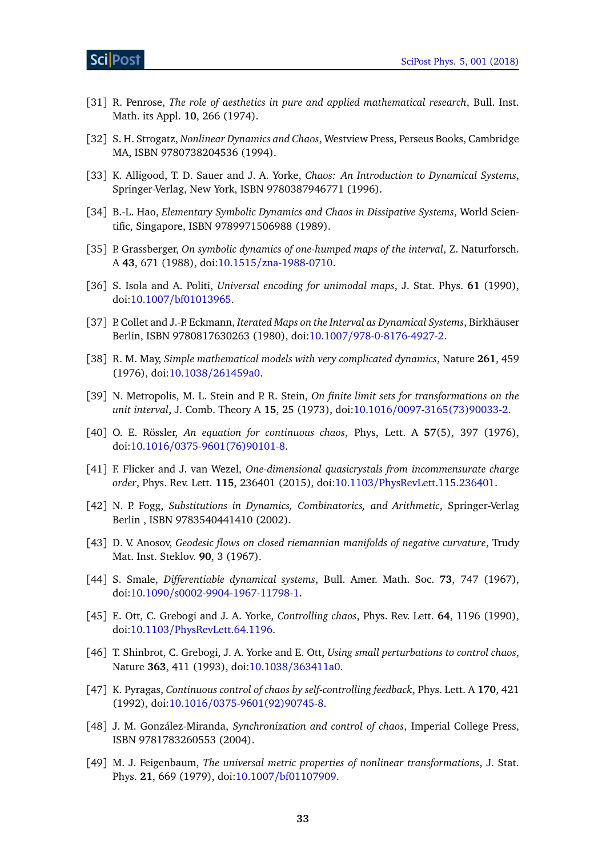- <span id="page-32-2"></span>[31] R. Penrose, *The role of aesthetics in pure and applied mathematical research*, Bull. Inst. Math. its Appl. **10**, 266 (1974).
- <span id="page-32-0"></span>[32] S. H. Strogatz, *Nonlinear Dynamics and Chaos*, Westview Press, Perseus Books, Cambridge MA, ISBN 9780738204536 (1994).
- <span id="page-32-1"></span>[33] K. Alligood, T. D. Sauer and J. A. Yorke, *Chaos: An Introduction to Dynamical Systems*, Springer-Verlag, New York, ISBN 9780387946771 (1996).
- <span id="page-32-3"></span>[34] B.-L. Hao, *Elementary Symbolic Dynamics and Chaos in Dissipative Systems*, World Scientific, Singapore, ISBN 9789971506988 (1989).
- <span id="page-32-4"></span>[35] P. Grassberger, *On symbolic dynamics of one-humped maps of the interval*, Z. Naturforsch. A **43**, 671 (1988), doi:10.1515/[zna-1988-0710.](http://dx.doi.org/10.1515/zna-1988-0710)
- <span id="page-32-7"></span>[36] S. Isola and A. Politi, *Universal encoding for unimodal maps*, J. Stat. Phys. **61** (1990), doi:10.1007/[bf01013965.](http://dx.doi.org/10.1007/bf01013965)
- <span id="page-32-5"></span>[37] P. Collet and J.-P. Eckmann, *Iterated Maps on the Interval as Dynamical Systems*, Birkhäuser Berlin, ISBN 9780817630263 (1980), doi:10.1007/[978-0-8176-4927-2.](http://dx.doi.org/10.1007/978-0-8176-4927-2)
- <span id="page-32-6"></span>[38] R. M. May, *Simple mathematical models with very complicated dynamics*, Nature **261**, 459 (1976), doi:10.1038/[261459a0.](http://dx.doi.org/10.1038/261459a0)
- <span id="page-32-8"></span>[39] N. Metropolis, M. L. Stein and P. R. Stein, *On finite limit sets for transformations on the unit interval*, J. Comb. Theory A **15**, 25 (1973), doi:10.1016/[0097-3165\(73\)90033-2.](http://dx.doi.org/10.1016/0097-3165(73)90033-2)
- <span id="page-32-9"></span>[40] O. E. Rössler, *An equation for continuous chaos*, Phys, Lett. A **57**(5), 397 (1976), doi:10.1016/[0375-9601\(76\)90101-8.](http://dx.doi.org/10.1016/0375-9601(76)90101-8)
- <span id="page-32-10"></span>[41] F. Flicker and J. van Wezel, *One-dimensional quasicrystals from incommensurate charge order*, Phys. Rev. Lett. **115**, 236401 (2015), doi:10.1103/[PhysRevLett.115.236401.](http://dx.doi.org/10.1103/PhysRevLett.115.236401)
- <span id="page-32-11"></span>[42] N. P. Fogg, *Substitutions in Dynamics, Combinatorics, and Arithmetic*, Springer-Verlag Berlin , ISBN 9783540441410 (2002).
- <span id="page-32-12"></span>[43] D. V. Anosov, *Geodesic flows on closed riemannian manifolds of negative curvature*, Trudy Mat. Inst. Steklov. **90**, 3 (1967).
- <span id="page-32-13"></span>[44] S. Smale, *Differentiable dynamical systems*, Bull. Amer. Math. Soc. **73**, 747 (1967), doi:10.1090/[s0002-9904-1967-11798-1.](http://dx.doi.org/10.1090/s0002-9904-1967-11798-1)
- <span id="page-32-14"></span>[45] E. Ott, C. Grebogi and J. A. Yorke, *Controlling chaos*, Phys. Rev. Lett. **64**, 1196 (1990), doi:10.1103/[PhysRevLett.64.1196.](http://dx.doi.org/10.1103/PhysRevLett.64.1196)
- [46] T. Shinbrot, C. Grebogi, J. A. Yorke and E. Ott, *Using small perturbations to control chaos*, Nature **363**, 411 (1993), doi:10.1038/[363411a0.](http://dx.doi.org/10.1038/363411a0)
- [47] K. Pyragas, *Continuous control of chaos by self-controlling feedback*, Phys. Lett. A **170**, 421 (1992), doi:10.1016/[0375-9601\(92\)90745-8.](http://dx.doi.org/10.1016/0375-9601(92)90745-8)
- <span id="page-32-15"></span>[48] J. M. González-Miranda, *Synchronization and control of chaos*, Imperial College Press, ISBN 9781783260553 (2004).
- <span id="page-32-16"></span>[49] M. J. Feigenbaum, *The universal metric properties of nonlinear transformations*, J. Stat. Phys. **21**, 669 (1979), doi:10.1007/[bf01107909.](http://dx.doi.org/10.1007/bf01107909)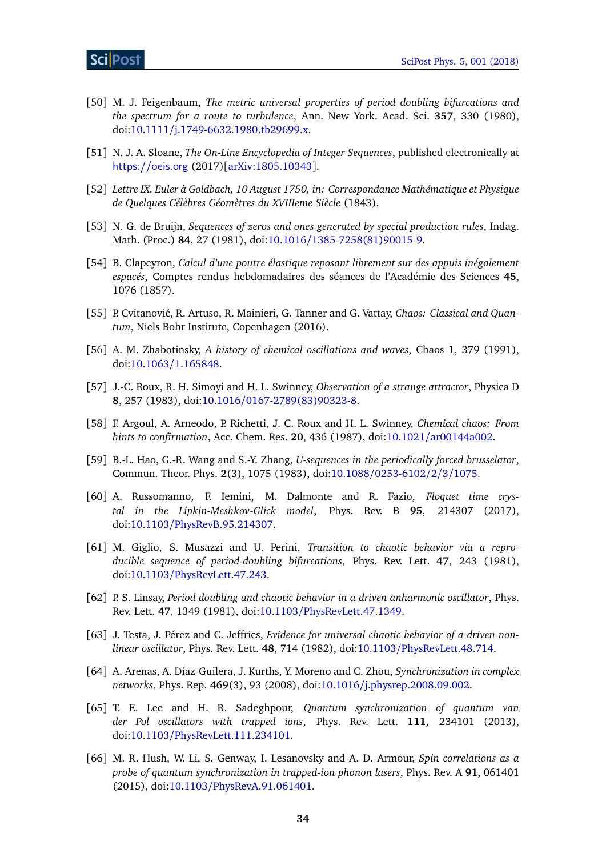- <span id="page-33-0"></span>[50] M. J. Feigenbaum, *The metric universal properties of period doubling bifurcations and the spectrum for a route to turbulence*, Ann. New York. Acad. Sci. **357**, 330 (1980), doi:10.1111/[j.1749-6632.1980.tb29699.x.](http://dx.doi.org/10.1111/j.1749-6632.1980.tb29699.x)
- <span id="page-33-1"></span>[51] N. J. A. Sloane, *The On-Line Encyclopedia of Integer Sequences*, published electronically at <https://oeis.org> (2017)[[arXiv:1805.10343](https://arxiv.org/abs/1805.10343)].
- <span id="page-33-2"></span>[52] *Lettre IX. Euler à Goldbach, 10 August 1750, in: Correspondance Mathématique et Physique de Quelques Célèbres Géomètres du XVIIIeme Siècle* (1843).
- <span id="page-33-3"></span>[53] N. G. de Bruijn, *Sequences of zeros and ones generated by special production rules*, Indag. Math. (Proc.) **84**, 27 (1981), doi:10.1016/[1385-7258\(81\)90015-9.](http://dx.doi.org/10.1016/1385-7258(81)90015-9)
- <span id="page-33-4"></span>[54] B. Clapeyron, *Calcul d'une poutre élastique reposant librement sur des appuis inégalement espacés*, Comptes rendus hebdomadaires des séances de l'Académie des Sciences **45**, 1076 (1857).
- <span id="page-33-5"></span>[55] P. Cvitanović, R. Artuso, R. Mainieri, G. Tanner and G. Vattay, *Chaos: Classical and Quantum*, Niels Bohr Institute, Copenhagen (2016).
- <span id="page-33-6"></span>[56] A. M. Zhabotinsky, *A history of chemical oscillations and waves*, Chaos **1**, 379 (1991), doi:10.1063/[1.165848.](http://dx.doi.org/10.1063/1.165848)
- <span id="page-33-8"></span>[57] J.-C. Roux, R. H. Simoyi and H. L. Swinney, *Observation of a strange attractor*, Physica D **8**, 257 (1983), doi:10.1016/[0167-2789\(83\)90323-8.](http://dx.doi.org/10.1016/0167-2789(83)90323-8)
- <span id="page-33-7"></span>[58] F. Argoul, A. Arneodo, P. Richetti, J. C. Roux and H. L. Swinney, *Chemical chaos: From hints to confirmation*, Acc. Chem. Res. **20**, 436 (1987), doi:10.1021/[ar00144a002.](http://dx.doi.org/10.1021/ar00144a002)
- <span id="page-33-9"></span>[59] B.-L. Hao, G.-R. Wang and S.-Y. Zhang, *U-sequences in the periodically forced brusselator*, Commun. Theor. Phys. **2**(3), 1075 (1983), doi:10.1088/[0253-6102](http://dx.doi.org/10.1088/0253-6102/2/3/1075)/2/3/1075.
- <span id="page-33-10"></span>[60] A. Russomanno, F. Iemini, M. Dalmonte and R. Fazio, *Floquet time crystal in the Lipkin-Meshkov-Glick model*, Phys. Rev. B **95**, 214307 (2017), doi:10.1103/[PhysRevB.95.214307.](http://dx.doi.org/10.1103/PhysRevB.95.214307)
- <span id="page-33-11"></span>[61] M. Giglio, S. Musazzi and U. Perini, *Transition to chaotic behavior via a reproducible sequence of period-doubling bifurcations*, Phys. Rev. Lett. **47**, 243 (1981), doi:10.1103/[PhysRevLett.47.243.](http://dx.doi.org/10.1103/PhysRevLett.47.243)
- <span id="page-33-12"></span>[62] P. S. Linsay, *Period doubling and chaotic behavior in a driven anharmonic oscillator*, Phys. Rev. Lett. **47**, 1349 (1981), doi:10.1103/[PhysRevLett.47.1349.](http://dx.doi.org/10.1103/PhysRevLett.47.1349)
- <span id="page-33-13"></span>[63] J. Testa, J. Pérez and C. Jeffries, *Evidence for universal chaotic behavior of a driven nonlinear oscillator*, Phys. Rev. Lett. **48**, 714 (1982), doi:10.1103/[PhysRevLett.48.714.](http://dx.doi.org/10.1103/PhysRevLett.48.714)
- <span id="page-33-14"></span>[64] A. Arenas, A. Díaz-Guilera, J. Kurths, Y. Moreno and C. Zhou, *Synchronization in complex networks*, Phys. Rep. **469**(3), 93 (2008), doi:10.1016/[j.physrep.2008.09.002.](http://dx.doi.org/10.1016/j.physrep.2008.09.002)
- <span id="page-33-15"></span>[65] T. E. Lee and H. R. Sadeghpour, *Quantum synchronization of quantum van der Pol oscillators with trapped ions*, Phys. Rev. Lett. **111**, 234101 (2013), doi:10.1103/[PhysRevLett.111.234101.](http://dx.doi.org/10.1103/PhysRevLett.111.234101)
- [66] M. R. Hush, W. Li, S. Genway, I. Lesanovsky and A. D. Armour, *Spin correlations as a probe of quantum synchronization in trapped-ion phonon lasers*, Phys. Rev. A **91**, 061401 (2015), doi:10.1103/[PhysRevA.91.061401.](http://dx.doi.org/10.1103/PhysRevA.91.061401)